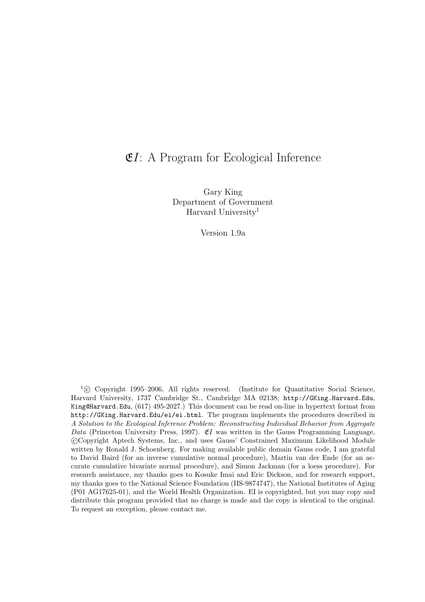## $EI: A Program for Ecological Inference$

Gary King Department of Government Harvard University<sup>1</sup>

Version 1.9a

 $1\textcircled{c}$  Copyright 1995–2006, All rights reserved. (Institute for Quantitative Social Science, Harvard University, 1737 Cambridge St., Cambridge MA 02138; http://GKing.Harvard.Edu, King@Harvard.Edu, (617) 495-2027.) This document can be read on-line in hypertext format from http://GKing.Harvard.Edu/ei/ei.html. The program implements the procedures described in A Solution to the Ecological Inference Problem: Reconstructing Individual Behavior from Aggregate Data (Princeton University Press, 1997).  $E I$  was written in the Gauss Programming Language, °c Copyright Aptech Systems, Inc., and uses Gauss' Constrained Maximum Likelihood Module written by Ronald J. Schoenberg. For making available public domain Gauss code, I am grateful to David Baird (for an inverse cumulative normal procedure), Martin van der Ende (for an accurate cumulative bivariate normal procedure), and Simon Jackman (for a loess procedure). For research assistance, my thanks goes to Kosuke Imai and Eric Dickson, and for research support, my thanks goes to the National Science Foundation (IIS-9874747), the National Institutes of Aging (P01 AG17625-01), and the World Health Organization. EI is copyrighted, but you may copy and distribute this program provided that no charge is made and the copy is identical to the original. To request an exception, please contact me.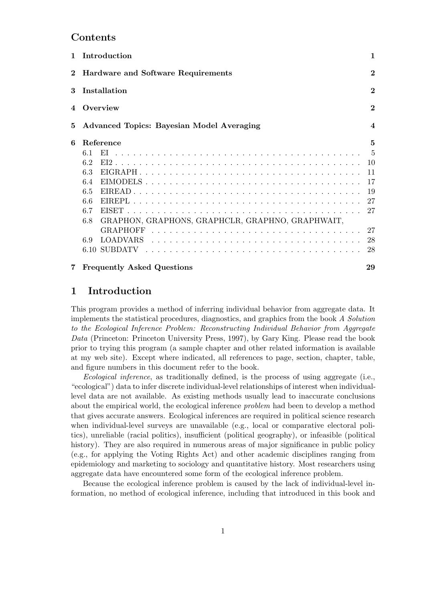## Contents

|          | 1 Introduction                                          | 1                       |  |  |  |  |
|----------|---------------------------------------------------------|-------------------------|--|--|--|--|
| $\bf{2}$ | <b>Hardware and Software Requirements</b>               | $\overline{2}$          |  |  |  |  |
| 3        | Installation                                            | $\overline{2}$          |  |  |  |  |
| 4        | Overview                                                |                         |  |  |  |  |
| 5        | Advanced Topics: Bayesian Model Averaging               | $\overline{\mathbf{4}}$ |  |  |  |  |
| 6        | Reference                                               | 5                       |  |  |  |  |
|          | 6.1                                                     | 5                       |  |  |  |  |
|          | 6.2                                                     | 10                      |  |  |  |  |
|          | 6.3                                                     | 11                      |  |  |  |  |
|          | 6.4                                                     |                         |  |  |  |  |
|          | 6.5                                                     | -19                     |  |  |  |  |
|          | 66                                                      | 27                      |  |  |  |  |
|          | 6.7                                                     | 27                      |  |  |  |  |
|          | GRAPHON, GRAPHONS, GRAPHCLR, GRAPHNO, GRAPHWAIT,<br>6.8 |                         |  |  |  |  |
|          |                                                         | 27                      |  |  |  |  |
|          | 6.9                                                     | 28                      |  |  |  |  |
|          |                                                         | 28                      |  |  |  |  |
| 7        | <b>Frequently Asked Questions</b>                       | 29                      |  |  |  |  |

# 1 Introduction

This program provides a method of inferring individual behavior from aggregate data. It implements the statistical procedures, diagnostics, and graphics from the book A Solution to the Ecological Inference Problem: Reconstructing Individual Behavior from Aggregate Data (Princeton: Princeton University Press, 1997), by Gary King. Please read the book prior to trying this program (a sample chapter and other related information is available at my web site). Except where indicated, all references to page, section, chapter, table, and figure numbers in this document refer to the book.

Ecological inference, as traditionally defined, is the process of using aggregate (i.e., "ecological") data to infer discrete individual-level relationships of interest when individuallevel data are not available. As existing methods usually lead to inaccurate conclusions about the empirical world, the ecological inference problem had been to develop a method that gives accurate answers. Ecological inferences are required in political science research when individual-level surveys are unavailable (e.g., local or comparative electoral politics), unreliable (racial politics), insufficient (political geography), or infeasible (political history). They are also required in numerous areas of major significance in public policy (e.g., for applying the Voting Rights Act) and other academic disciplines ranging from epidemiology and marketing to sociology and quantitative history. Most researchers using aggregate data have encountered some form of the ecological inference problem.

Because the ecological inference problem is caused by the lack of individual-level information, no method of ecological inference, including that introduced in this book and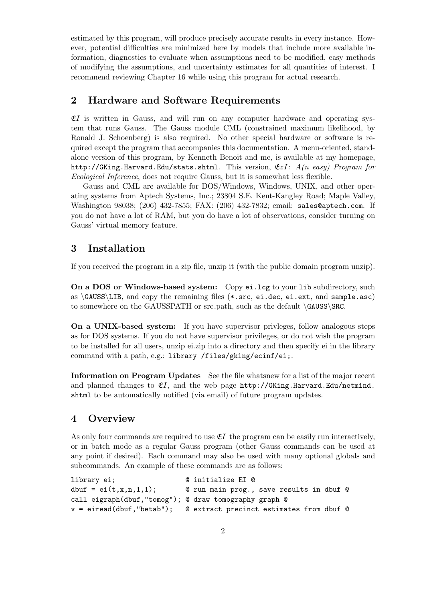estimated by this program, will produce precisely accurate results in every instance. However, potential difficulties are minimized here by models that include more available information, diagnostics to evaluate when assumptions need to be modified, easy methods of modifying the assumptions, and uncertainty estimates for all quantities of interest. I recommend reviewing Chapter 16 while using this program for actual research.

## 2 Hardware and Software Requirements

 $E$ I is written in Gauss, and will run on any computer hardware and operating system that runs Gauss. The Gauss module CML (constrained maximum likelihood, by Ronald J. Schoenberg) is also required. No other special hardware or software is required except the program that accompanies this documentation. A menu-oriented, standalone version of this program, by Kenneth Benoit and me, is available at my homepage, http://GKing.Harvard.Edu/stats.shtml. This version,  $EzI: A(n \text{ easy})$  Program for Ecological Inference, does not require Gauss, but it is somewhat less flexible.

Gauss and CML are available for DOS/Windows, Windows, UNIX, and other operating systems from Aptech Systems, Inc.; 23804 S.E. Kent-Kangley Road; Maple Valley, Washington 98038; (206) 432-7855; FAX: (206) 432-7832; email: sales@aptech.com. If you do not have a lot of RAM, but you do have a lot of observations, consider turning on Gauss' virtual memory feature.

## 3 Installation

If you received the program in a zip file, unzip it (with the public domain program unzip).

On a DOS or Windows-based system: Copy ei.lcg to your lib subdirectory, such as  $\GAUSS\LE,$  and copy the remaining files (\*.src, ei.dec, ei.ext, and sample.asc) to somewhere on the GAUSSPATH or src\_path, such as the default \GAUSS\SRC.

On a UNIX-based system: If you have supervisor privleges, follow analogous steps as for DOS systems. If you do not have supervisor privileges, or do not wish the program to be installed for all users, unzip ei.zip into a directory and then specify ei in the library command with a path, e.g.: library /files/gking/ecinf/ei;.

Information on Program Updates See the file whatsnew for a list of the major recent and planned changes to  $E$ , and the web page http://GKing.Harvard.Edu/netmind. shtml to be automatically notified (via email) of future program updates.

## 4 Overview

As only four commands are required to use  $\mathfrak{E}I$  the program can be easily run interactively, or in batch mode as a regular Gauss program (other Gauss commands can be used at any point if desired). Each command may also be used with many optional globals and subcommands. An example of these commands are as follows:

```
library ei; @ initialize EI @
dbuf = ei(t, x, n, 1, 1); @ run main prog., save results in dbuf @
call eigraph(dbuf,"tomog"); @ draw tomography graph @
v = eiread(dbuf,"betab"); @ extract precinct estimates from dbuf @
```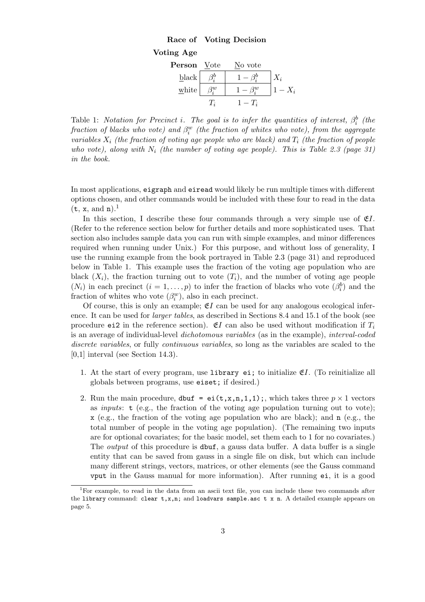## Race of Voting Decision



Table 1: Notation for Precinct i. The goal is to infer the quantities of interest,  $\beta_i^b$  (the  $\emph{fraction of blocks who vote}$ ) and  $\beta_i^w$  (the fraction of whites who vote), from the aggregate variables  $X_i$  (the fraction of voting age people who are black) and  $T_i$  (the fraction of people who vote), along with  $N_i$  (the number of voting age people). This is Table 2.3 (page 31) in the book.

In most applications, eigraph and eiread would likely be run multiple times with different options chosen, and other commands would be included with these four to read in the data  $(t, x, \text{ and } n).$ <sup>1</sup>

In this section, I describe these four commands through a very simple use of  $E$ . (Refer to the reference section below for further details and more sophisticated uses. That section also includes sample data you can run with simple examples, and minor differences required when running under Unix.) For this purpose, and without loss of generality, I use the running example from the book portrayed in Table 2.3 (page 31) and reproduced below in Table 1. This example uses the fraction of the voting age population who are black  $(X_i)$ , the fraction turning out to vote  $(T_i)$ , and the number of voting age people  $(N_i)$  in each precinct  $(i = 1, \ldots, p)$  to infer the fraction of blacks who vote  $(\beta_i^b)$  and the fraction of whites who vote  $(\beta_i^w)$ , also in each precinct.

Of course, this is only an example;  $E I$  can be used for any analogous ecological inference. It can be used for *larger tables*, as described in Sections 8.4 and 15.1 of the book (see procedure ei2 in the reference section).  $\mathfrak{C}I$  can also be used without modification if  $T_i$ is an average of individual-level dichotomous variables (as in the example), interval-coded discrete variables, or fully continuous variables, so long as the variables are scaled to the [0,1] interval (see Section 14.3).

- 1. At the start of every program, use library ei; to initialize  $\mathfrak{C}I$ . (To reinitialize all globals between programs, use eiset; if desired.)
- 2. Run the main procedure, dbuf = ei(t,x,n,1,1);, which takes three  $p \times 1$  vectors as *inputs*:  $\mathbf{t}$  (e.g., the fraction of the voting age population turning out to vote); x (e.g., the fraction of the voting age population who are black); and n (e.g., the total number of people in the voting age population). (The remaining two inputs are for optional covariates; for the basic model, set them each to 1 for no covariates.) The *output* of this procedure is **dbuf**, a gauss data buffer. A data buffer is a single entity that can be saved from gauss in a single file on disk, but which can include many different strings, vectors, matrices, or other elements (see the Gauss command vput in the Gauss manual for more information). After running ei, it is a good

<sup>1</sup>For example, to read in the data from an ascii text file, you can include these two commands after the library command: clear  $t, x, n$ ; and loadvars sample.asc  $t \times n$ . A detailed example appears on page 5.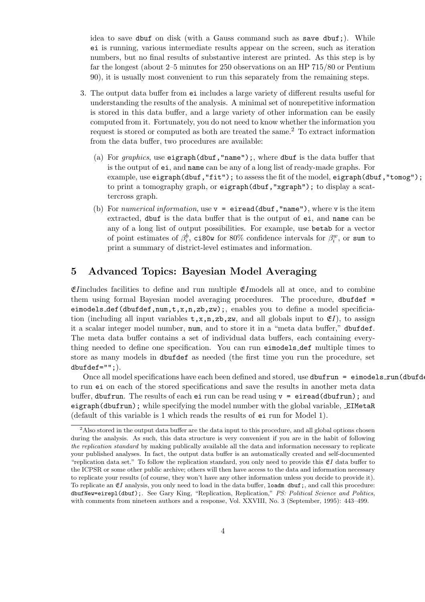idea to save dbuf on disk (with a Gauss command such as save dbuf;). While ei is running, various intermediate results appear on the screen, such as iteration numbers, but no final results of substantive interest are printed. As this step is by far the longest (about 2–5 minutes for 250 observations on an HP 715/80 or Pentium 90), it is usually most convenient to run this separately from the remaining steps.

- 3. The output data buffer from ei includes a large variety of different results useful for understanding the results of the analysis. A minimal set of nonrepetitive information is stored in this data buffer, and a large variety of other information can be easily computed from it. Fortunately, you do not need to know whether the information you request is stored or computed as both are treated the same.<sup>2</sup> To extract information from the data buffer, two procedures are available:
	- (a) For graphics, use eigraph(dbuf, "name");, where dbuf is the data buffer that is the output of ei, and name can be any of a long list of ready-made graphs. For example, use eigraph(dbuf, "fit"); to assess the fit of the model, eigraph(dbuf, "tomog"); to print a tomography graph, or eigraph(dbuf, "xgraph"); to display a scattercross graph.
	- (b) For numerical information, use  $v =$  eiread(dbuf, "name"), where v is the item extracted, dbuf is the data buffer that is the output of ei, and name can be any of a long list of output possibilities. For example, use betab for a vector of point estimates of  $\beta_i^b$ , ci80w for 80% confidence intervals for  $\beta_i^w$ , or sum to print a summary of district-level estimates and information.

## 5 Advanced Topics: Bayesian Model Averaging

 $E$ Iincludes facilities to define and run multiple  $E$ Imodels all at once, and to combine them using formal Bayesian model averaging procedures. The procedure, dbufdef = eimodels\_def(dbufdef,num,t,x,n,zb,zw);, enables you to define a model specificiation (including all input variables  $t, x, n, zb, zw$ , and all globals input to  $\mathfrak{E}I$ ), to assign it a scalar integer model number, num, and to store it in a "meta data buffer," dbufdef. The meta data buffer contains a set of individual data buffers, each containing everything needed to define one specification. You can run eimodels def multiple times to store as many models in dbufdef as needed (the first time you run the procedure, set  $dbuffdef="";$ ).

Once all model specifications have each been defined and stored, use dbufrun = eimodels\_run(dbufdend) to run ei on each of the stored specifications and save the results in another meta data buffer, dbufrun. The results of each ei run can be read using  $v =$  eiread(dbufrun); and eigraph(dbufrun); while specifying the model number with the global variable, EIMetaR (default of this variable is 1 which reads the results of ei run for Model 1).

<sup>&</sup>lt;sup>2</sup>Also stored in the output data buffer are the data input to this procedure, and all global options chosen during the analysis. As such, this data structure is very convenient if you are in the habit of following the replication standard by making publically available all the data and information necessary to replicate your published analyses. In fact, the output data buffer is an automatically created and self-documented "replication data set." To follow the replication standard, you only need to provide this  $\mathfrak{C}I$  data buffer to the ICPSR or some other public archive; others will then have access to the data and information necessary to replicate your results (of course, they won't have any other information unless you decide to provide it). To replicate an  $E_I$  analysis, you only need to load in the data buffer, loadm dbuf;, and call this procedure: dbufNew=eirepl(dbuf);. See Gary King, "Replication, Replication," PS: Political Science and Politics, with comments from nineteen authors and a response, Vol. XXVIII, No. 3 (September, 1995): 443–499.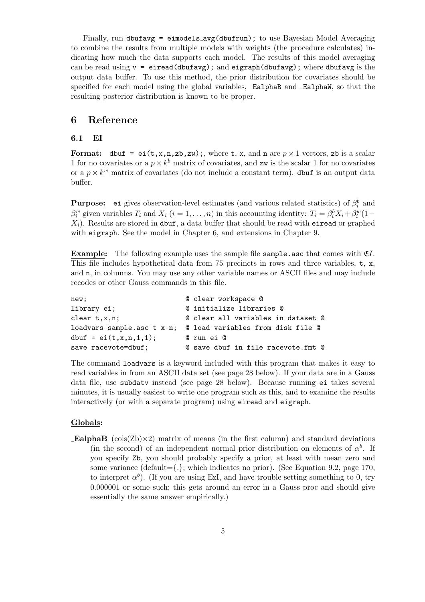Finally, run dbufavg = eimodels avg(dbufrun); to use Bayesian Model Averaging to combine the results from multiple models with weights (the procedure calculates) indicating how much the data supports each model. The results of this model averaging can be read using  $v = e$  iread(dbufavg); and eigraph(dbufavg); where dbufavg is the output data buffer. To use this method, the prior distribution for covariates should be specified for each model using the global variables, EalphaB and EalphaW, so that the resulting posterior distribution is known to be proper.

### 6 Reference

#### 6.1 EI

Format: dbuf = ei(t,x,n,zb,zw);, where t, x, and n are  $p \times 1$  vectors, zb is a scalar 1 for no covariates or a  $p \times k^b$  matrix of covariates, and zw is the scalar 1 for no covariates or a  $p \times k^w$  matrix of covariates (do not include a constant term). dbut is an output data buffer.

**Purpose:** ei gives observation-level estimates (and various related statistics) of  $\beta_i^b$  and  $\beta_i^w$  given variables  $T_i$  and  $X_i$   $(i = 1, ..., n)$  in this accounting identity:  $T_i = \beta_i^b X_i + \beta_i^w (1 X_i$ ). Results are stored in dbuf, a data buffer that should be read with eiread or graphed with eigraph. See the model in Chapter 6, and extensions in Chapter 9.

**Example:** The following example uses the sample file sample.asc that comes with  $E$ . This file includes hypothetical data from 75 precincts in rows and three variables, t, x, and n, in columns. You may use any other variable names or ASCII files and may include recodes or other Gauss commands in this file.

| new;                        | © clear workspace ©                |
|-----------------------------|------------------------------------|
| library ei;                 | © initialize libraries ©           |
| $clear$ $t,x,n$ ;           | © clear all variables in dataset © |
| loadvars sample.asc t x n;  | © load variables from disk file ©  |
| $dbuf = ei(t, x, n, 1, 1);$ | @ run ei @                         |
| save racevote=dbuf;         | © save dbuf in file racevote.fmt © |

The command loadvars is a keyword included with this program that makes it easy to read variables in from an ASCII data set (see page 28 below). If your data are in a Gauss data file, use subdatv instead (see page 28 below). Because running ei takes several minutes, it is usually easiest to write one program such as this, and to examine the results interactively (or with a separate program) using eiread and eigraph.

#### Globals:

**EalphaB** ( $\text{cols}(\mathbf{Z}\mathbf{b}) \times 2$ ) matrix of means (in the first column) and standard deviations (in the second) of an independent normal prior distribution on elements of  $\alpha^b$ . If you specify Zb, you should probably specify a prior, at least with mean zero and some variance (default={ $\{\cdot\}$ ; which indicates no prior). (See Equation 9.2, page 170, to interpret  $\alpha^b$ ). (If you are using EzI, and have trouble setting something to 0, try 0.000001 or some such; this gets around an error in a Gauss proc and should give essentially the same answer empirically.)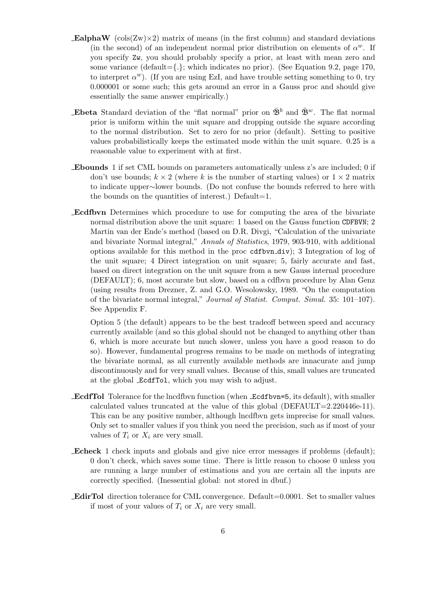- **EalphaW** (cols( $\text{Zw} \times 2$ ) matrix of means (in the first column) and standard deviations (in the second) of an independent normal prior distribution on elements of  $\alpha^w$ . If you specify Zw, you should probably specify a prior, at least with mean zero and some variance (default= $\{\cdot\}$ ; which indicates no prior). (See Equation 9.2, page 170, to interpret  $\alpha^w$ ). (If you are using EzI, and have trouble setting something to 0, try 0.000001 or some such; this gets around an error in a Gauss proc and should give essentially the same answer empirically.)
- **Ebeta** Standard deviation of the "flat normal" prior on  $\check{\mathfrak{B}}^b$  and  $\check{\mathfrak{B}}^w$ . The flat normal prior is uniform within the unit square and dropping outside the square according to the normal distribution. Set to zero for no prior (default). Setting to positive values probabilistically keeps the estimated mode within the unit square. 0.25 is a reasonable value to experiment with at first.
- Ebounds 1 if set CML bounds on parameters automatically unless z's are included; 0 if don't use bounds;  $k \times 2$  (where k is the number of starting values) or  $1 \times 2$  matrix to indicate upper∼lower bounds. (Do not confuse the bounds referred to here with the bounds on the quantities of interest.) Default=1.
- Ecdfbvn Determines which procedure to use for computing the area of the bivariate normal distribution above the unit square: 1 based on the Gauss function CDFBVN; 2 Martin van der Ende's method (based on D.R. Divgi, "Calculation of the univariate and bivariate Normal integral," Annals of Statistics, 1979, 903-910, with additional options available for this method in the proc cdfbvn div); 3 Integration of log of the unit square; 4 Direct integration on unit square; 5, fairly accurate and fast, based on direct integration on the unit square from a new Gauss internal procedure (DEFAULT); 6, most accurate but slow, based on a cdfbvn procedure by Alan Genz (using results from Drezner, Z. and G.O. Wesolowsky, 1989. "On the computation of the bivariate normal integral," Journal of Statist. Comput. Simul. 35: 101–107). See Appendix F.

Option 5 (the default) appears to be the best tradeoff between speed and accuracy currently available (and so this global should not be changed to anything other than 6, which is more accurate but much slower, unless you have a good reason to do so). However, fundamental progress remains to be made on methods of integrating the bivariate normal, as all currently available methods are innacurate and jump discontinuously and for very small values. Because of this, small values are truncated at the global EcdfTol, which you may wish to adjust.

- EcdfTol Tolerance for the lncdfbvn function (when Ecdfbvn=5, its default), with smaller calculated values truncated at the value of this global  $(DEFAULT=2.220446e-11)$ . This can be any positive number, although lncdfbvn gets imprecise for small values. Only set to smaller values if you think you need the precision, such as if most of your values of  $T_i$  or  $X_i$  are very small.
- Echeck 1 check inputs and globals and give nice error messages if problems (default); 0 don't check, which saves some time. There is little reason to choose 0 unless you are running a large number of estimations and you are certain all the inputs are correctly specified. (Inessential global: not stored in dbuf.)
- EdirTol direction tolerance for CML convergence. Default=0.0001. Set to smaller values if most of your values of  $T_i$  or  $X_i$  are very small.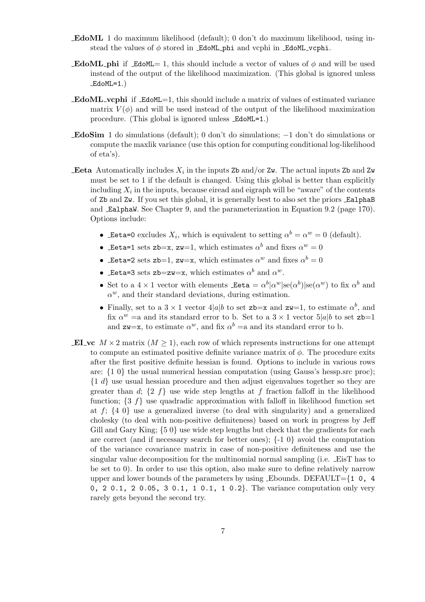- EdoML 1 do maximum likelihood (default); 0 don't do maximum likelihood, using instead the values of  $\phi$  stored in EdoML phi and vcphi in EdoML vcphi.
- **EdoML** phi if EdoML= 1, this should include a vector of values of  $\phi$  and will be used instead of the output of the likelihood maximization. (This global is ignored unless  $EdoML=1.$ )
- **EdoML** vertchend if  $EdoML=1$ , this should include a matrix of values of estimated variance matrix  $V(\phi)$  and will be used instead of the output of the likelihood maximization procedure. (This global is ignored unless EdoML=1.)
- EdoSim 1 do simulations (default); 0 don't do simulations; −1 don't do simulations or compute the maxlik variance (use this option for computing conditional log-likelihood of eta's).
- **Eeta** Automatically includes  $X_i$  in the inputs Zb and/or Zw. The actual inputs Zb and Zw must be set to 1 if the default is changed. Using this global is better than explicitly including  $X_i$  in the inputs, because eiread and eigraph will be "aware" of the contents of Zb and Zw. If you set this global, it is generally best to also set the priors EalphaB and EalphaW. See Chapter 9, and the parameterization in Equation 9.2 (page 170). Options include:
	- Leta=0 excludes  $X_i$ , which is equivalent to setting  $\alpha^b = \alpha^w = 0$  (default).
	- Leta=1 sets zb=x, zw=1, which estimates  $\alpha^b$  and fixes  $\alpha^w = 0$
	- Leta=2 sets zb=1, zw=x, which estimates  $\alpha^w$  and fixes  $\alpha^b = 0$
	- Leta=3 sets zb=zw=x, which estimates  $\alpha^b$  and  $\alpha^w$ .
	- Set to a  $4 \times 1$  vector with elements  $\text{.}$  Eeta  $= \alpha^b |\alpha^w| \text{se}(\alpha^b) | \text{se}(\alpha^w)$  to fix  $\alpha^b$  and  $\alpha^w$ , and their standard deviations, during estimation.
	- Finally, set to a  $3 \times 1$  vector  $4|a|b$  to set zb=x and zw=1, to estimate  $\alpha^{b}$ , and fix  $\alpha^w$  =a and its standard error to b. Set to a  $3 \times 1$  vector  $5|a|b$  to set  $z = b1$ and  $z = x$ , to estimate  $\alpha^w$ , and fix  $\alpha^b =$ a and its standard error to b.
- **EI** vc  $M \times 2$  matrix  $(M > 1)$ , each row of which represents instructions for one attempt to compute an estimated positive definite variance matrix of  $\phi$ . The procedure exits after the first positive definite hessian is found. Options to include in various rows are:  $\{1\,0\}$  the usual numerical hessian computation (using Gauss's hessp.src proc); {1 d} use usual hessian procedure and then adjust eigenvalues together so they are greater than d;  $\{2 \, f\}$  use wide step lengths at f fraction falloff in the likelihood function;  $\{3 \text{ } f\}$  use quadradic approximation with falloff in likelihood function set at  $f$ ;  $\{4\ 0\}$  use a generalized inverse (to deal with singularity) and a generalized cholesky (to deal with non-positive definiteness) based on work in progress by Jeff Gill and Gary King;  $\{5\ 0\}$  use wide step lengths but check that the gradients for each are correct (and if necessary search for better ones);  $\{-1\ 0\}$  avoid the computation of the variance covariance matrix in case of non-positive definiteness and use the singular value decomposition for the multinomial normal sampling (i.e. EisT has to be set to 0). In order to use this option, also make sure to define relatively narrow upper and lower bounds of the parameters by using \_Ebounds. DEFAULT= $\{1, 0, 4\}$ 0, 2 0.1, 2 0.05, 3 0.1, 1 0.1, 1 0.2}. The variance computation only very rarely gets beyond the second try.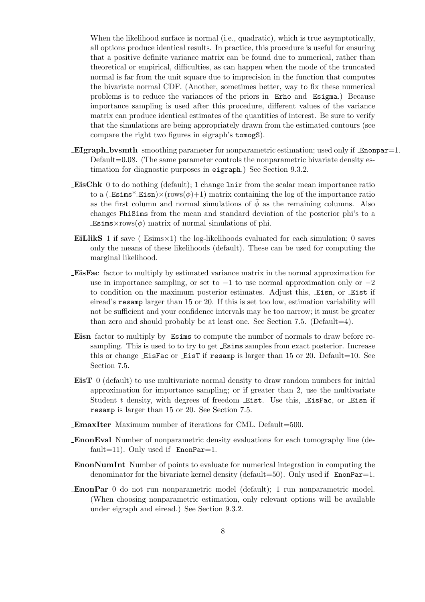When the likelihood surface is normal (i.e., quadratic), which is true asymptotically, all options produce identical results. In practice, this procedure is useful for ensuring that a positive definite variance matrix can be found due to numerical, rather than theoretical or empirical, difficulties, as can happen when the mode of the truncated normal is far from the unit square due to imprecision in the function that computes the bivariate normal CDF. (Another, sometimes better, way to fix these numerical problems is to reduce the variances of the priors in Erho and Esigma.) Because importance sampling is used after this procedure, different values of the variance matrix can produce identical estimates of the quantities of interest. Be sure to verify that the simulations are being appropriately drawn from the estimated contours (see compare the right two figures in eigraph's tomogS).

- EIgraph bvsmth smoothing parameter for nonparametric estimation; used only if Enonpar=1. Default=0.08. (The same parameter controls the nonparametric bivariate density estimation for diagnostic purposes in eigraph.) See Section 9.3.2.
- EisChk 0 to do nothing (default); 1 change lnir from the scalar mean importance ratio to a ( $\text{Estms}^*$  Eisn) $\times$ (rows( $\phi$ )+1) matrix containing the log of the importance ratio as the first column and normal simulations of  $\phi$  as the remaining columns. Also changes PhiSims from the mean and standard deviation of the posterior phi's to a  $\text{Essims} \times \text{rows}(\phi)$  matrix of normal simulations of phi.
- **EILlikS** 1 if save ( $\text{Esims} \times 1$ ) the log-likelihoods evaluated for each simulation; 0 saves only the means of these likelihoods (default). These can be used for computing the marginal likelihood.
- EisFac factor to multiply by estimated variance matrix in the normal approximation for use in importance sampling, or set to  $-1$  to use normal approximation only or  $-2$ to condition on the maximum posterior estimates. Adjust this, Eisn, or Eist if eiread's resamp larger than 15 or 20. If this is set too low, estimation variability will not be sufficient and your confidence intervals may be too narrow; it must be greater than zero and should probably be at least one. See Section 7.5. (Default $=4$ ).
- Eisn factor to multiply by Esims to compute the number of normals to draw before resampling. This is used to to try to get Esims samples from exact posterior. Increase this or change  $EisFac$  or  $EisT$  if resamp is larger than 15 or 20. Default=10. See Section 7.5.
- EisT 0 (default) to use multivariate normal density to draw random numbers for initial approximation for importance sampling; or if greater than 2, use the multivariate Student  $t$  density, with degrees of freedom Eist. Use this, EisFac, or Eisn if resamp is larger than 15 or 20. See Section 7.5.
- EmaxIter Maximum number of iterations for CML. Default=500.
- EnonEval Number of nonparametric density evaluations for each tomography line (default=11). Only used if  $\text{EnonPar}=1$ .
- EnonNumInt Number of points to evaluate for numerical integration in computing the denominator for the bivariate kernel density (default=50). Only used if  $\text{EnonPar}=1$ .
- EnonPar 0 do not run nonparametric model (default); 1 run nonparametric model. (When choosing nonparametric estimation, only relevant options will be available under eigraph and eiread.) See Section 9.3.2.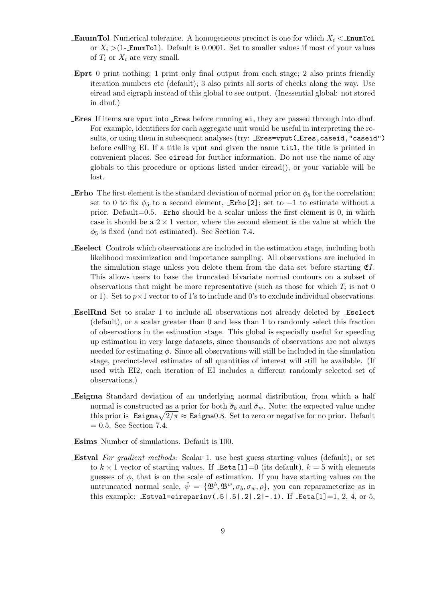- **EnumTol** Numerical tolerance. A homogeneous precinct is one for which  $X_i <$  EnumTol or  $X_i > (1$ -EnumTol). Default is 0.0001. Set to smaller values if most of your values of  $T_i$  or  $X_i$  are very small.
- Eprt 0 print nothing; 1 print only final output from each stage; 2 also prints friendly iteration numbers etc (default); 3 also prints all sorts of checks along the way. Use eiread and eigraph instead of this global to see output. (Inessential global: not stored in dbuf.)
- Eres If items are vput into Eres before running ei, they are passed through into dbuf. For example, identifiers for each aggregate unit would be useful in interpreting the results, or using them in subsequent analyses (try: \_Eres=vput(\_Eres, caseid, "caseid") before calling EI. If a title is vput and given the name titl, the title is printed in convenient places. See eiread for further information. Do not use the name of any globals to this procedure or options listed under eiread(), or your variable will be lost.
- **Erho** The first element is the standard deviation of normal prior on  $\phi_5$  for the correlation; set to 0 to fix  $\phi_5$  to a second element, Erho[2]; set to -1 to estimate without a prior. Default=0.5. Erho should be a scalar unless the first element is  $0$ , in which case it should be a  $2 \times 1$  vector, where the second element is the value at which the  $\phi_5$  is fixed (and not estimated). See Section 7.4.
- Eselect Controls which observations are included in the estimation stage, including both likelihood maximization and importance sampling. All observations are included in the simulation stage unless you delete them from the data set before starting  $\mathfrak{C}I$ . This allows users to base the truncated bivariate normal contours on a subset of observations that might be more representative (such as those for which  $T_i$  is not 0 or 1). Set to  $p \times 1$  vector to of 1's to include and 0's to exclude individual observations.
- EselRnd Set to scalar 1 to include all observations not already deleted by Eselect (default), or a scalar greater than 0 and less than 1 to randomly select this fraction of observations in the estimation stage. This global is especially useful for speeding up estimation in very large datasets, since thousands of observations are not always needed for estimating  $\phi$ . Since all observations will still be included in the simulation stage, precinct-level estimates of all quantities of interest will still be available. (If used with EI2, each iteration of EI includes a different randomly selected set of observations.)
- Esigma Standard deviation of an underlying normal distribution, from which a half normal is constructed as a prior for both  $\check{\sigma}_b$  and  $\check{\sigma}_w$ . Note: the expected value under normal is constructed as a prior for both  $\sigma_b$  and  $\sigma_w$ . Note: the expected value under<br>this prior is \_Esigma<sub> $\sqrt{2/\pi}$ </sub>  $\approx$ \_Esigma0.8. Set to zero or negative for no prior. Default  $= 0.5$ . See Section 7.4.
- Esims Number of simulations. Default is 100.
- Estval For gradient methods: Scalar 1, use best guess starting values (default); or set to  $k \times 1$  vector of starting values. If  $\text{Let} \mathsf{a}[1] = 0$  (its default),  $k = 5$  with elements guesses of  $\phi$ , that is on the scale of estimation. If you have starting values on the untruncated normal scale,  $\check{\psi} = {\mathfrak{B}^b, \mathfrak{B}^w, \sigma_b, \sigma_w, \rho},$  you can reparameterize as in this example: Estval=eireparinv(.5|.5|.2|.2|-.1). If Eeta[1]=1, 2, 4, or 5,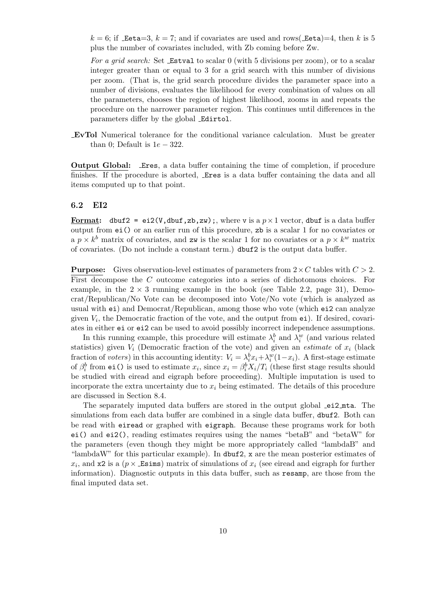$k = 6$ ; if Leta=3,  $k = 7$ ; and if covariates are used and rows(Leta)=4, then k is 5 plus the number of covariates included, with Zb coming before Zw.

For a grid search: Set Estval to scalar 0 (with 5 divisions per zoom), or to a scalar integer greater than or equal to 3 for a grid search with this number of divisions per zoom. (That is, the grid search procedure divides the parameter space into a number of divisions, evaluates the likelihood for every combination of values on all the parameters, chooses the region of highest likelihood, zooms in and repeats the procedure on the narrower parameter region. This continues until differences in the parameters differ by the global Edirtol.

EvTol Numerical tolerance for the conditional variance calculation. Must be greater than 0; Default is  $1e - 322$ .

Output Global: Eres, a data buffer containing the time of completion, if procedure finishes. If the procedure is aborted, Eres is a data buffer containing the data and all items computed up to that point.

#### 6.2 EI2

Format: dbuf2 = ei2(V,dbuf,zb,zw);, where v is a  $p \times 1$  vector, dbuf is a data buffer output from ei() or an earlier run of this procedure, zb is a scalar 1 for no covariates or a  $p \times k^b$  matrix of covariates, and zw is the scalar 1 for no covariates or a  $p \times k^w$  matrix of covariates. (Do not include a constant term.) dbuf2 is the output data buffer.

**Purpose:** Gives observation-level estimates of parameters from  $2 \times C$  tables with  $C > 2$ . First decompose the C outcome categories into a series of dichotomous choices. For example, in the  $2 \times 3$  running example in the book (see Table 2.2, page 31), Democrat/Republican/No Vote can be decomposed into Vote/No vote (which is analyzed as usual with ei) and Democrat/Republican, among those who vote (which ei2 can analyze given  $V_i$ , the Democratic fraction of the vote, and the output from  $e_i$ ). If desired, covariates in either ei or ei2 can be used to avoid possibly incorrect independence assumptions.

In this running example, this procedure will estimate  $\lambda_i^b$  and  $\lambda_i^w$  (and various related statistics) given  $V_i$  (Democratic fraction of the vote) and given an *estimate* of  $x_i$  (black fraction of voters) in this accounting identity:  $V_i = \lambda_i^b x_i + \lambda_i^w (1 - x_i)$ . A first-stage estimate of  $\beta_i^b$  from ei() is used to estimate  $x_i$ , since  $x_i = \beta_i^b X_i / T_i$  (these first stage results should be studied with eiread and eigraph before proceeding). Multiple imputation is used to incorporate the extra uncertainty due to  $x_i$  being estimated. The details of this procedure are discussed in Section 8.4.

The separately imputed data buffers are stored in the output global ei2 mta. The simulations from each data buffer are combined in a single data buffer, dbuf2. Both can be read with eiread or graphed with eigraph. Because these programs work for both ei() and ei2(), reading estimates requires using the names "betaB" and "betaW" for the parameters (even though they might be more appropriately called "lambdaB" and "lambdaW" for this particular example). In dbuf2, x are the mean posterior estimates of  $x_i$ , and x2 is a ( $p \times$  Esims) matrix of simulations of  $x_i$  (see eiread and eigraph for further information). Diagnostic outputs in this data buffer, such as resamp, are those from the final imputed data set.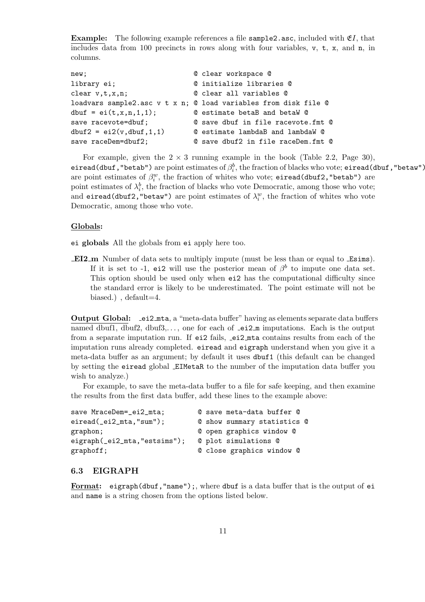**Example:** The following example references a file sample 2.asc, included with  $E$ , that includes data from 100 precincts in rows along with four variables, v, t, x, and n, in columns.

```
new; @ clear workspace @
library ei; @ initialize libraries @
clear v,t,x,n; @ clear all variables @
loadvars sample2.asc v t x n; @ load variables from disk file @
dbuf = ei(t, x, n, 1, 1); @ estimate betaB and betaW @
save racevote=dbuf; \qquad \qquad \& save dbuf in file racevote.fmt @
dbuf2 = ei2(v, dbuf, 1, 1) @ estimate lambdaB and lambdaW @
save raceDem=dbuf2; \qquad \qquad \qquad \mathbb{Q} save dbuf2 in file raceDem.fmt \mathbb{Q}
```
For example, given the  $2 \times 3$  running example in the book (Table 2.2, Page 30), eiread(dbuf , "betab") are point estimates of  $\beta_i^b$ , the fraction of blacks who vote; <code>eiread(dbuf</code> , "betaw") are point estimates of  $\beta_i^w$ , the fraction of whites who vote; eiread(dbuf2,"betab") are point estimates of  $\lambda_i^b$ , the fraction of blacks who vote Democratic, among those who vote; and eiread(dbuf2,"betaw") are point estimates of  $\lambda_i^w$ , the fraction of whites who vote Democratic, among those who vote.

#### Globals:

ei globals All the globals from ei apply here too.

EI2 m Number of data sets to multiply impute (must be less than or equal to Esims). If it is set to -1, ei2 will use the posterior mean of  $\beta^b$  to impute one data set. This option should be used only when ei2 has the computational difficulty since the standard error is likely to be underestimated. The point estimate will not be biased.) , default=4.

Output Global: ei2 mta, a "meta-data buffer" having as elements separate data buffers named dbuf1, dbuf2, dbuf3, $\dots$ , one for each of  $\texttt{.ei2_m}$  imputations. Each is the output from a separate imputation run. If ei2 fails, ei2 mta contains results from each of the imputation runs already completed. eiread and eigraph understand when you give it a meta-data buffer as an argument; by default it uses dbuf1 (this default can be changed by setting the eiread global EIMetaR to the number of the imputation data buffer you wish to analyze.)

For example, to save the meta-data buffer to a file for safe keeping, and then examine the results from the first data buffer, add these lines to the example above:

| save MraceDem=_ei2_mta;       | @ save meta-data buffer @   |
|-------------------------------|-----------------------------|
| $eired($ $_ei2_mta$ , "sum"); | © show summary statistics © |
| graphon;                      | © open graphics window ©    |
| eigraph(_ei2_mta,"estsims");  | © plot simulations ©        |
| graphoff;                     | © close graphics window ©   |

#### 6.3 EIGRAPH

Format: eigraph(dbuf,"name");, where dbuf is a data buffer that is the output of ei and name is a string chosen from the options listed below.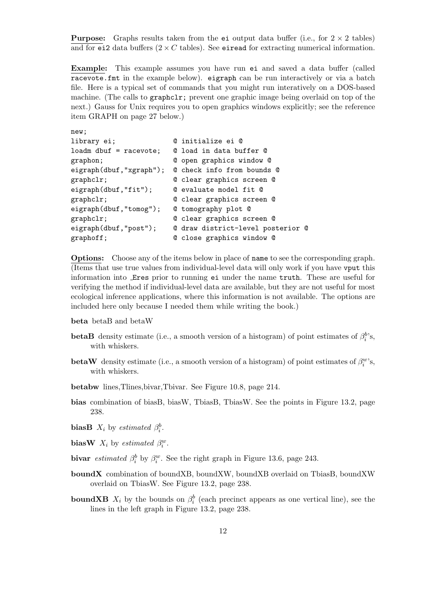**Purpose:** Graphs results taken from the ei output data buffer (i.e., for  $2 \times 2$  tables) and for ei2 data buffers  $(2 \times C$  tables). See eiread for extracting numerical information.

Example: This example assumes you have run ei and saved a data buffer (called racevote.fmt in the example below). eigraph can be run interactively or via a batch file. Here is a typical set of commands that you might run interatively on a DOS-based machine. (The calls to graphclr; prevent one graphic image being overlaid on top of the next.) Gauss for Unix requires you to open graphics windows explicitly; see the reference item GRAPH on page 27 below.)

```
new;
library ei; @ initialize ei @
loadm dbuf = racevote; @ load in data buffer @
graphon; @ open graphics window @
eigraph(dbuf,"xgraph"); @ check info from bounds @
graphclr; @ clear graphics screen @
eigraph(dbuf,"fit"); @ evaluate model fit @
graphclr; @ clear graphics screen @
eigraph(dbuf,"tomog"); @ tomography plot @
graphclr; @ clear graphics screen @
eigraph(dbuf,"post"); @ draw district-level posterior @
graphoff; \qquad \qquad \mathsf{Q} close graphics window \mathsf{Q}
```
Options: Choose any of the items below in place of name to see the corresponding graph. (Items that use true values from individual-level data will only work if you have vput this information into Eres prior to running ei under the name truth. These are useful for verifying the method if individual-level data are available, but they are not useful for most ecological inference applications, where this information is not available. The options are included here only because I needed them while writing the book.)

- beta betaB and betaW
- **betaB** density estimate (i.e., a smooth version of a histogram) of point estimates of  $\beta_i^b$ 's, with whiskers.
- **betaW** density estimate (i.e., a smooth version of a histogram) of point estimates of  $\beta_i^w$ 's, with whiskers.
- betabw lines,Tlines,bivar,Tbivar. See Figure 10.8, page 214.
- bias combination of biasB, biasW, TbiasB, TbiasW. See the points in Figure 13.2, page 238.
- **biasB**  $X_i$  by estimated  $\beta_i^b$ .
- biasW  $X_i$  by estimated  $\beta_i^w$ .
- bivar *estimated*  $\beta_i^b$  by  $\beta_i^w$ . See the right graph in Figure 13.6, page 243.
- boundX combination of boundXB, boundXW, boundXB overlaid on TbiasB, boundXW overlaid on TbiasW. See Figure 13.2, page 238.
- **boundXB**  $X_i$  by the bounds on  $\beta_i^b$  (each precinct appears as one vertical line), see the lines in the left graph in Figure 13.2, page 238.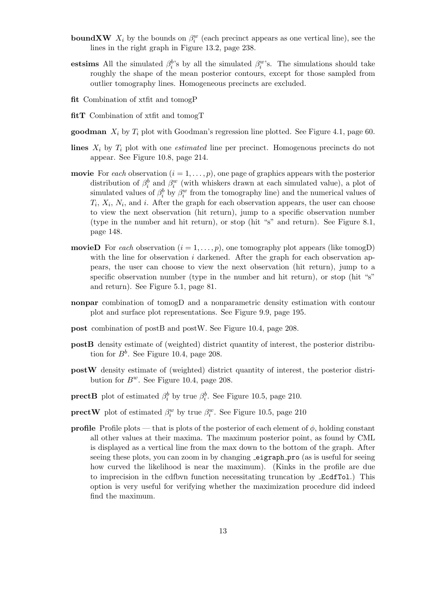- **boundXW**  $X_i$  by the bounds on  $\beta_i^w$  (each precinct appears as one vertical line), see the lines in the right graph in Figure 13.2, page 238.
- estsims All the simulated  $\beta_i^b$ 's by all the simulated  $\beta_i^w$ 's. The simulations should take roughly the shape of the mean posterior contours, except for those sampled from outlier tomography lines. Homogeneous precincts are excluded.
- fit Combination of xtfit and tomogP
- fitT Combination of xtfit and tomogT
- goodman  $X_i$  by  $T_i$  plot with Goodman's regression line plotted. See Figure 4.1, page 60.
- lines  $X_i$  by  $T_i$  plot with one *estimated* line per precinct. Homogenous precincts do not appear. See Figure 10.8, page 214.
- **movie** For each observation  $(i = 1, \ldots, p)$ , one page of graphics appears with the posterior distribution of  $\beta_i^b$  and  $\beta_i^w$  (with whiskers drawn at each simulated value), a plot of simulated values of  $\beta_i^b$  by  $\beta_i^w$  from the tomography line) and the numerical values of  $T_i$ ,  $X_i$ ,  $N_i$ , and i. After the graph for each observation appears, the user can choose to view the next observation (hit return), jump to a specific observation number (type in the number and hit return), or stop (hit "s" and return). See Figure 8.1, page 148.
- **movieD** For each observation  $(i = 1, \ldots, p)$ , one tomography plot appears (like tomogD) with the line for observation  $i$  darkened. After the graph for each observation appears, the user can choose to view the next observation (hit return), jump to a specific observation number (type in the number and hit return), or stop (hit "s" and return). See Figure 5.1, page 81.
- nonpar combination of tomogD and a nonparametric density estimation with contour plot and surface plot representations. See Figure 9.9, page 195.
- post combination of postB and postW. See Figure 10.4, page 208.
- postB density estimate of (weighted) district quantity of interest, the posterior distribution for  $B^b$ . See Figure 10.4, page 208.
- postW density estimate of (weighted) district quantity of interest, the posterior distribution for  $B^w$ . See Figure 10.4, page 208.
- **prectB** plot of estimated  $\beta_i^b$  by true  $\beta_i^b$ . See Figure 10.5, page 210.
- **prectW** plot of estimated  $\beta_i^w$  by true  $\beta_i^w$ . See Figure 10.5, page 210
- **profile** Profile plots that is plots of the posterior of each element of  $\phi$ , holding constant all other values at their maxima. The maximum posterior point, as found by CML is displayed as a vertical line from the max down to the bottom of the graph. After seeing these plots, you can zoom in by changing **eigraph** pro (as is useful for seeing how curved the likelihood is near the maximum). (Kinks in the profile are due to imprecision in the cdfbvn function necessitating truncation by EcdfTol.) This option is very useful for verifying whether the maximization procedure did indeed find the maximum.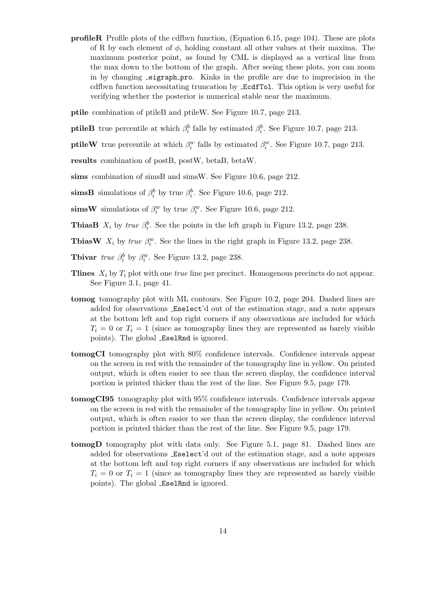profileR Profile plots of the cdfbvn function, (Equation 6.15, page 104). These are plots of R by each element of  $\phi$ , holding constant all other values at their maxima. The maximum posterior point, as found by CML is displayed as a vertical line from the max down to the bottom of the graph. After seeing these plots, you can zoom in by changing eigraph pro. Kinks in the profile are due to imprecision in the cdfbvn function necessitating truncation by EcdfTol. This option is very useful for verifying whether the posterior is numerical stable near the maximum.

ptile combination of ptileB and ptileW. See Figure 10.7, page 213.

- **ptileB** true percentile at which  $\beta_i^b$  falls by estimated  $\beta_i^b$ . See Figure 10.7, page 213.
- **ptileW** true percentile at which  $\beta_i^w$  falls by estimated  $\beta_i^w$ . See Figure 10.7, page 213.
- results combination of postB, postW, betaB, betaW.
- sims combination of simsB and simsW. See Figure 10.6, page 212.
- simsB simulations of  $\beta_i^b$  by true  $\beta_i^b$ . See Figure 10.6, page 212.
- sims W simulations of  $\beta_i^w$  by true  $\beta_i^w$ . See Figure 10.6, page 212.
- **TbiasB**  $X_i$  by true  $\beta_i^b$ . See the points in the left graph in Figure 13.2, page 238.
- **TbiasW**  $X_i$  by true  $\beta_i^w$ . See the lines in the right graph in Figure 13.2, page 238.
- **Tbivar** true  $\beta_i^b$  by  $\beta_i^w$ . See Figure 13.2, page 238.
- Thing  $X_i$  by  $T_i$  plot with one *true* line per precinct. Homogenous precincts do not appear. See Figure 3.1, page 41.
- tomog tomography plot with ML contours. See Figure 10.2, page 204. Dashed lines are added for observations Eselect'd out of the estimation stage, and a note appears at the bottom left and top right corners if any observations are included for which  $T_i = 0$  or  $T_i = 1$  (since as tomography lines they are represented as barely visible points). The global EselRnd is ignored.
- tomogCI tomography plot with 80% confidence intervals. Confidence intervals appear on the screen in red with the remainder of the tomography line in yellow. On printed output, which is often easier to see than the screen display, the confidence interval portion is printed thicker than the rest of the line. See Figure 9.5, page 179.
- tomogCI95 tomography plot with 95% confidence intervals. Confidence intervals appear on the screen in red with the remainder of the tomography line in yellow. On printed output, which is often easier to see than the screen display, the confidence interval portion is printed thicker than the rest of the line. See Figure 9.5, page 179.
- tomogD tomography plot with data only. See Figure 5.1, page 81. Dashed lines are added for observations Eselect'd out of the estimation stage, and a note appears at the bottom left and top right corners if any observations are included for which  $T_i = 0$  or  $T_i = 1$  (since as tomography lines they are represented as barely visible points). The global EselRnd is ignored.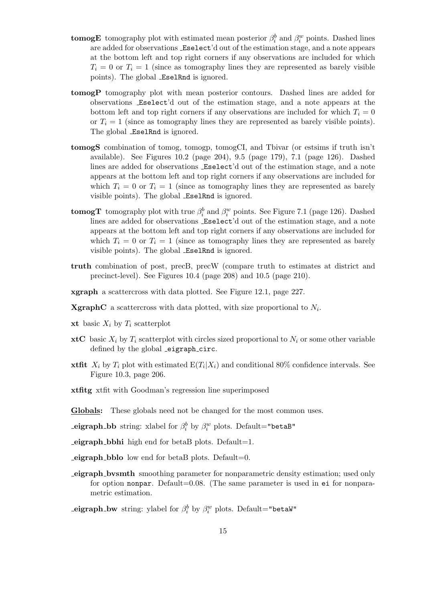- **tomogE** tomography plot with estimated mean posterior  $\beta_i^b$  and  $\beta_i^w$  points. Dashed lines are added for observations Eselect'd out of the estimation stage, and a note appears at the bottom left and top right corners if any observations are included for which  $T_i = 0$  or  $T_i = 1$  (since as tomography lines they are represented as barely visible points). The global EselRnd is ignored.
- tomogP tomography plot with mean posterior contours. Dashed lines are added for observations Eselect'd out of the estimation stage, and a note appears at the bottom left and top right corners if any observations are included for which  $T_i = 0$ or  $T_i = 1$  (since as tomography lines they are represented as barely visible points). The global EselRnd is ignored.
- tomogS combination of tomog, tomogp, tomogCI, and Tbivar (or estsims if truth isn't available). See Figures 10.2 (page 204), 9.5 (page 179), 7.1 (page 126). Dashed lines are added for observations Eselect'd out of the estimation stage, and a note appears at the bottom left and top right corners if any observations are included for which  $T_i = 0$  or  $T_i = 1$  (since as tomography lines they are represented as barely visible points). The global EselRnd is ignored.
- tomogT tomography plot with true  $\beta_i^b$  and  $\beta_i^w$  points. See Figure 7.1 (page 126). Dashed lines are added for observations Eselect'd out of the estimation stage, and a note appears at the bottom left and top right corners if any observations are included for which  $T_i = 0$  or  $T_i = 1$  (since as tomography lines they are represented as barely visible points). The global EselRnd is ignored.
- truth combination of post, precB, precW (compare truth to estimates at district and precinct-level). See Figures 10.4 (page 208) and 10.5 (page 210).
- xgraph a scattercross with data plotted. See Figure 12.1, page 227.
- **XgraphC** a scattercross with data plotted, with size proportional to  $N_i$ .
- xt basic  $X_i$  by  $T_i$  scatterplot
- **xtC** basic  $X_i$  by  $T_i$  scatterplot with circles sized proportional to  $N_i$  or some other variable defined by the global eigraph circ.
- **xtfit**  $X_i$  by  $T_i$  plot with estimated  $E(T_i|X_i)$  and conditional 80% confidence intervals. See Figure 10.3, page 206.
- xtfitg xtfit with Goodman's regression line superimposed
- Globals: These globals need not be changed for the most common uses.
- eigraph\_bb string: xlabel for  $\beta_i^b$  by  $\beta_i^w$  plots. Default="betaB"
- $-eigraph_b$ bhi high end for betaB plots. Default=1.
- $-eigraph_b$  bblo low end for betaB plots. Default=0.
- eigraph bvsmth smoothing parameter for nonparametric density estimation; used only for option nonpar. Default=0.08. (The same parameter is used in ei for nonparametric estimation.
- eigraph\_bw string: ylabel for  $\beta_i^b$  by  $\beta_i^w$  plots. Default="betaW"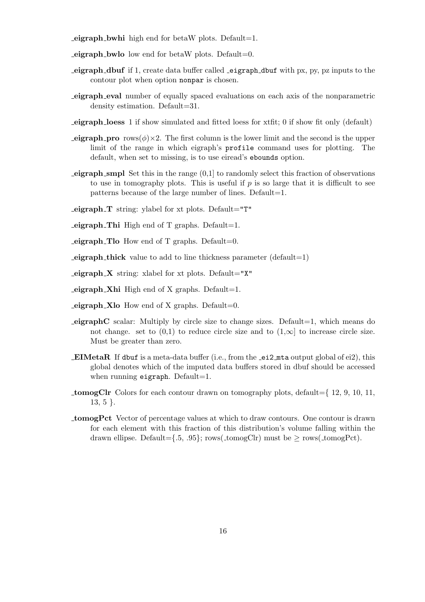$-eigraph_b$  by high end for betaW plots. Default=1.

 $-eigraph_b$  bwlo low end for betaW plots. Default=0.

- $\epsilon$ **eigraph dbuf** if 1, create data buffer called  $\epsilon$ **eigraph** dbuf with px, py, pz inputs to the contour plot when option nonpar is chosen.
- eigraph eval number of equally spaced evaluations on each axis of the nonparametric density estimation. Default=31.
- eigraph loess 1 if show simulated and fitted loess for xtfit; 0 if show fit only (default)
- **eigraph pro** rows( $\phi$ )×2. The first column is the lower limit and the second is the upper limit of the range in which eigraph's profile command uses for plotting. The default, when set to missing, is to use eiread's ebounds option.
- **eigraph smpl** Set this in the range  $(0,1]$  to randomly select this fraction of observations to use in tomography plots. This is useful if  $p$  is so large that it is difficult to see patterns because of the large number of lines. Default=1.
- $-eigraph_T$  string: ylabel for xt plots. Default="T"
- $-eigraph$  Thi High end of T graphs. Default=1.
- $-eigraph$  Tlo How end of T graphs. Default=0.
- $\equiv$ **eigraph** thick value to add to line thickness parameter (default=1)
- $-eigraph_X$  string: xlabel for xt plots. Default="X"
- $-eigraph$  Xhi High end of X graphs. Default=1.
- $-eigraph_Xlo$  How end of X graphs. Default=0.
- **eigraphC** scalar: Multiply by circle size to change sizes. Default $=1$ , which means do not change. set to  $(0,1)$  to reduce circle size and to  $(1,\infty]$  to increase circle size. Must be greater than zero.
- **EIMetaR** If dbuf is a meta-data buffer (i.e., from the  $-ei2$  muth global of ei2), this global denotes which of the imputed data buffers stored in dbuf should be accessed when running eigraph. Default=1.
- **tomogClr** Colors for each contour drawn on tomography plots, default= $\{12, 9, 10, 11,$ 13, 5 }.
- tomogPct Vector of percentage values at which to draw contours. One contour is drawn for each element with this fraction of this distribution's volume falling within the drawn ellipse. Default={.5, .95}; rows(\_tomogClr) must be  $>$  rows(\_tomogPct).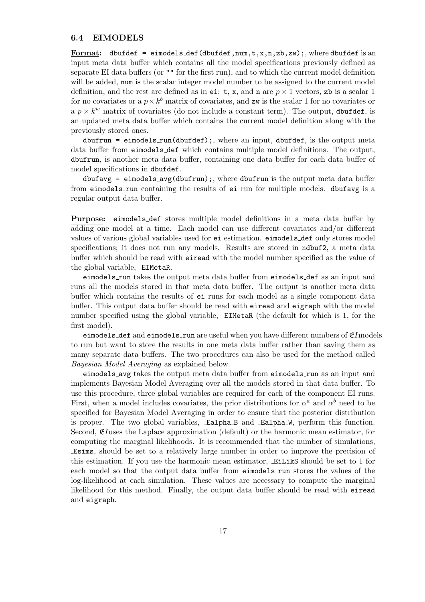#### 6.4 EIMODELS

Format: dbufdef = eimodels\_def(dbufdef,num,t,x,n,zb,zw);, where dbufdef is an input meta data buffer which contains all the model specifications previously defined as separate EI data buffers (or "" for the first run), and to which the current model definition will be added, num is the scalar integer model number to be assigned to the current model definition, and the rest are defined as in ei: t, x, and n are  $p \times 1$  vectors, zb is a scalar 1 for no covariates or a  $p \times k^b$  matrix of covariates, and zw is the scalar 1 for no covariates or a  $p \times k^w$  matrix of covariates (do not include a constant term). The output, dbufdef, is an updated meta data buffer which contains the current model definition along with the previously stored ones.

 $dbufrun = eimodels.run(dbufdef);$ , where an input, dbufdef, is the output meta data buffer from eimodels def which contains multiple model definitions. The output, dbufrun, is another meta data buffer, containing one data buffer for each data buffer of model specifications in dbufdef.

dbufavg = eimodels avg(dbufrun);, where dbufrun is the output meta data buffer from eimodels run containing the results of ei run for multiple models. dbufavg is a regular output data buffer.

Purpose: eimodels def stores multiple model definitions in a meta data buffer by adding one model at a time. Each model can use different covariates and/or different values of various global variables used for ei estimation. eimodels def only stores model specifications; it does not run any models. Results are stored in ndbuf2, a meta data buffer which should be read with eiread with the model number specified as the value of the global variable, EIMetaR.

eimodels run takes the output meta data buffer from eimodels def as an input and runs all the models stored in that meta data buffer. The output is another meta data buffer which contains the results of ei runs for each model as a single component data buffer. This output data buffer should be read with eiread and eigraph with the model number specified using the global variable, EIMetaR (the default for which is 1, for the first model).

eimodels\_def and eimodels\_run are useful when you have different numbers of  $\mathfrak{C}I$ models to run but want to store the results in one meta data buffer rather than saving them as many separate data buffers. The two procedures can also be used for the method called Bayesian Model Averaging as explained below.

eimodels avg takes the output meta data buffer from eimodels run as an input and implements Bayesian Model Averaging over all the models stored in that data buffer. To use this procedure, three global variables are required for each of the component EI runs. First, when a model includes covariates, the prior distributions for  $\alpha^a$  and  $\alpha^b$  need to be specified for Bayesian Model Averaging in order to ensure that the posterior distribution is proper. The two global variables, Ealpha B and Ealpha W, perform this function. Second,  $\mathfrak{E}I$ uses the Laplace approximation (default) or the harmonic mean estimator, for computing the marginal likelihoods. It is recommended that the number of simulations, Esims, should be set to a relatively large number in order to improve the precision of this estimation. If you use the harmonic mean estimator, EiLikS should be set to 1 for each model so that the output data buffer from **eimodels\_run** stores the values of the log-likelihood at each simulation. These values are necessary to compute the marginal likelihood for this method. Finally, the output data buffer should be read with eiread and eigraph.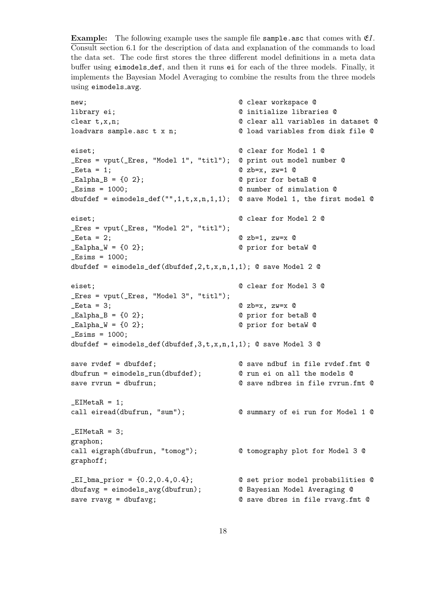**Example:** The following example uses the sample file sample.asc that comes with  $E$ . Consult section 6.1 for the description of data and explanation of the commands to load the data set. The code first stores the three different model definitions in a meta data buffer using eimodels def, and then it runs ei for each of the three models. Finally, it implements the Bayesian Model Averaging to combine the results from the three models using eimodels avg.

```
new; \qquad \qquad \qquad \mathbb{C} clear workspace \mathbb{C}library ei; @ initialize libraries @
clear t,x,n; @ clear all variables in dataset @
loadvars sample.asc t x n; @ load variables from disk file @
eiset; @ clear for Model 1 @
_Eres = vput(_Eres, "Model 1", "titl"); @ print out model number @
\text{Beta} = 1; \text{Q} zb=x, zw=1 \text{Q}_EBL = \{0, 2\}; @ prior for betaB @
_Esims = 1000; @ number of simulation @
dbufdef = eimodels_def("",1,t,x,n,1,1); \circ save Model 1, the first model \circeiset; @ clear for Model 2 @
_Eres = vput(_Eres, "Model 2", "titl");
\text{Let } a = 2; \text{Let } a = 2; \text{Let } a = 2; \text{Let } a = 1, 2\text{ and } a\_Ealpha_W = \{0 \ 2\}; @ prior for betaW @
-Esims = 1000;
dbufdef = eimodels_def(dbufdef,2, t, x, n, 1, 1); @ save Model 2 @
eiset; @ clear for Model 3 @
_Eres = vput(_Eres, "Model 3", "titl");
\text{Let } a = 3; \text{Let } a = 3; \text{Let } a = 3; \text{Let } a = 3; \text{Let } a = 3; \text{Let } a = 3; \text{Let } a = 3; \text{Let } a = 3; \text{Let } a = 3; \text{Let } a = 3; \text{Let } a = 3; \text{Let } a = 3; \text{Let } a = 3; \text{Let } a = 3; \text{Let } a = 3; \text{Let } a = 3; \text{Let } a = 3; 
_Ealpha_B = {0 2}; @ prior for betaB @
LEalpha_W = \{0\,2\}; @ prior for betaW @
<math>Esims = 1000;dbufdef = eimodels_def(dbufdef,3,t,x,n,1,1); @ save Model 3 @
save rvdef = dbufdef; <br> @ save ndbuf in file rvdef.fmt @
dbufrun = eimodels_run(dbufdef); @ run ei on all the models @
save rvrun = dbufrun; @ save ndbres in file rvrun.fmt @
_LEIMetaR = 1;
call eiread(dbufrun, "sum"); @ summary of ei run for Model 1 @
EIMetaR = 3;graphon;
call eigraph(dbufrun, "tomog"); @ tomography plot for Model 3 @
graphoff;
_EI_bma_prior = {0.2,0.4,0.4}; @ set prior model probabilities @
dbufavg = eimodels_avg(dbufrun); @ Bayesian Model Averaging @
save rvavg = dbufavg; @ save dbres in file rvavg.fmt @
```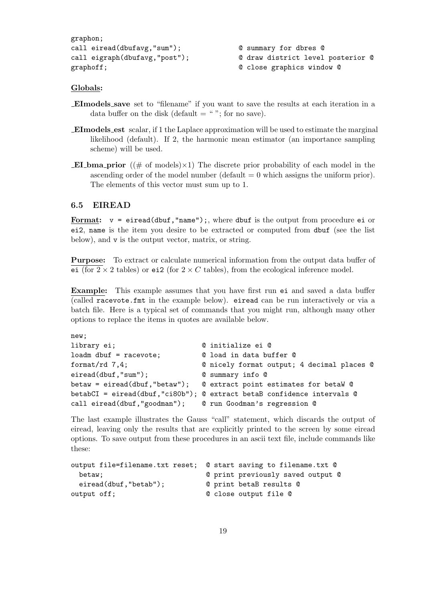```
graphon;
call eiread(dbufavg,"sum"); @ summary for dbres @
graphoff; \qquad \qquad \qquad \mathbb{C} close graphics window \mathbb{C}
```
call eigraph(dbufavg,"post"); @ draw district level posterior @

#### Globals:

- EImodels save set to "filename" if you want to save the results at each iteration in a data buffer on the disk (default  $=$  ""; for no save).
- EImodels est scalar, if 1 the Laplace approximation will be used to estimate the marginal likelihood (default). If 2, the harmonic mean estimator (an importance sampling scheme) will be used.
- **EI**-bma-prior (( $\#$  of models) $\times$ 1) The discrete prior probability of each model in the ascending order of the model number (default  $= 0$  which assigns the uniform prior). The elements of this vector must sum up to 1.

#### 6.5 EIREAD

Format:  $v = eiread(dbuf, "name"), where dbuf is the output from procedure ei or$ ei2, name is the item you desire to be extracted or computed from dbuf (see the list below), and v is the output vector, matrix, or string.

Purpose: To extract or calculate numerical information from the output data buffer of ei (for  $2 \times 2$  tables) or ei2 (for  $2 \times C$  tables), from the ecological inference model.

Example: This example assumes that you have first run ei and saved a data buffer (called racevote.fmt in the example below). eiread can be run interactively or via a batch file. Here is a typical set of commands that you might run, although many other options to replace the items in quotes are available below.

| new;                                                       |                                                                        |
|------------------------------------------------------------|------------------------------------------------------------------------|
| library ei;                                                | © initialize ei ©                                                      |
| $loadm$ dbuf = racevote;                                   | © load in data buffer ©                                                |
| format/rd $7,4$ ;                                          | © nicely format output; 4 decimal places ©                             |
| $eired(dbuf, "sum")$ ;                                     | 0 summary info 0                                                       |
|                                                            |                                                                        |
|                                                            | betabCI = eiread(dbuf,"ci80b"); @ extract betaB confidence intervals @ |
| call eiread(dbuf, "goodman"); © run Goodman's regression © |                                                                        |

The last example illustrates the Gauss "call" statement, which discards the output of eiread, leaving only the results that are explicitly printed to the screen by some eiread options. To save output from these procedures in an ascii text file, include commands like these:

```
output file=filename.txt reset; @ start saving to filename.txt @
 betaw; betaw; 0 print previously saved output 0
 eiread(dbuf, "betab"); 0 print betaB results 0
output off; \qquad \qquad \qquad \mathbb{C} close output file \mathbb{C}
```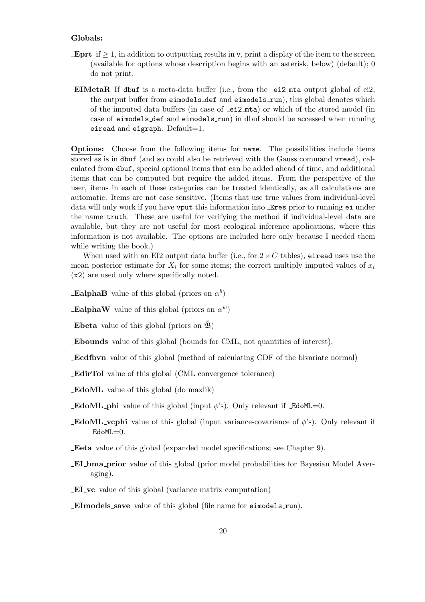#### Globals:

- **Eprt** if  $\geq 1$ , in addition to outputting results in v, print a display of the item to the screen (available for options whose description begins with an asterisk, below) (default); 0 do not print.
- EIMetaR If dbuf is a meta-data buffer (i.e., from the  $e$ i2 mta output global of ei2; the output buffer from eimodels\_def and eimodels\_run), this global denotes which of the imputed data buffers (in case of  $\text{\texttt{e}i2} \text{\texttt{m}ta}$ ) or which of the stored model (in case of eimodels def and eimodels run) in dbuf should be accessed when running eiread and eigraph.  $Default=1$ .

Options: Choose from the following items for name. The possibilities include items stored as is in dbuf (and so could also be retrieved with the Gauss command vread), calculated from dbuf, special optional items that can be added ahead of time, and additional items that can be computed but require the added items. From the perspective of the user, items in each of these categories can be treated identically, as all calculations are automatic. Items are not case sensitive. (Items that use true values from individual-level data will only work if you have vput this information into Eres prior to running ei under the name truth. These are useful for verifying the method if individual-level data are available, but they are not useful for most ecological inference applications, where this information is not available. The options are included here only because I needed them while writing the book.)

When used with an EI2 output data buffer (i.e., for  $2 \times C$  tables), eiread uses use the mean posterior estimate for  $X_i$  for some items; the correct multiply imputed values of  $x_i$ (x2) are used only where specifically noted.

EalphaB value of this global (priors on  $\alpha^b$ )

EalphaW value of this global (priors on  $\alpha^w$ )

**Ebeta** value of this global (priors on  $\mathfrak{B}$ )

Ebounds value of this global (bounds for CML, not quantities of interest).

Ecdfbvn value of this global (method of calculating CDF of the bivariate normal)

EdirTol value of this global (CML convergence tolerance)

EdoML value of this global (do maxlik)

**EdoML** phi value of this global (input  $\phi$ 's). Only relevant if EdoML=0.

**EdoML** vcphi value of this global (input variance-covariance of  $\phi$ 's). Only relevant if  $EdoML=0$ .

Eeta value of this global (expanded model specifications; see Chapter 9).

- EI bma prior value of this global (prior model probabilities for Bayesian Model Averaging).
- EI vc value of this global (variance matrix computation)

EImodels save value of this global (file name for eimodels run).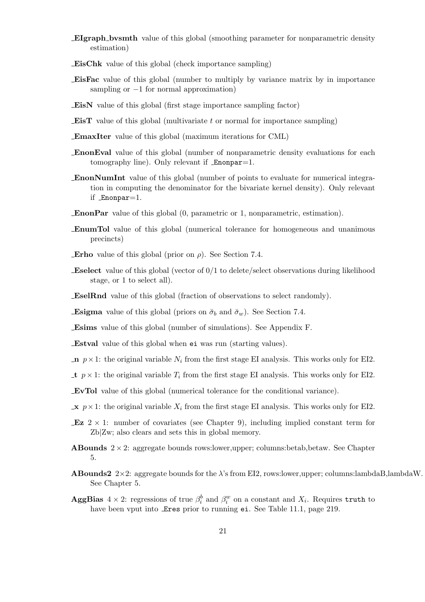- EIgraph bvsmth value of this global (smoothing parameter for nonparametric density estimation)
- EisChk value of this global (check importance sampling)
- EisFac value of this global (number to multiply by variance matrix by in importance sampling or  $-1$  for normal approximation)
- EisN value of this global (first stage importance sampling factor)
- **EisT** value of this global (multivariate t or normal for importance sampling)
- EmaxIter value of this global (maximum iterations for CML)
- EnonEval value of this global (number of nonparametric density evaluations for each tomography line). Only relevant if Enonpar=1.
- EnonNumInt value of this global (number of points to evaluate for numerical integration in computing the denominator for the bivariate kernel density). Only relevant if Enonpar=1.
- EnonPar value of this global (0, parametric or 1, nonparametric, estimation).
- EnumTol value of this global (numerical tolerance for homogeneous and unanimous precincts)
- **Erho** value of this global (prior on  $\rho$ ). See Section 7.4.
- Eselect value of this global (vector of 0/1 to delete/select observations during likelihood stage, or 1 to select all).
- EselRnd value of this global (fraction of observations to select randomly).

**Esigma** value of this global (priors on  $\check{\sigma}_b$  and  $\check{\sigma}_w$ ). See Section 7.4.

Esims value of this global (number of simulations). See Appendix F.

Estval value of this global when ei was run (starting values).

- **n**  $p \times 1$ : the original variable  $N_i$  from the first stage EI analysis. This works only for EI2.
- t  $p \times 1$ : the original variable  $T_i$  from the first stage EI analysis. This works only for EI2.
- EvTol value of this global (numerical tolerance for the conditional variance).
- $\mathbf{x}$   $p \times 1$ : the original variable  $X_i$  from the first stage EI analysis. This works only for EI2.
- **Ez**  $2 \times 1$ : number of covariates (see Chapter 9), including implied constant term for Zb|Zw; also clears and sets this in global memory.
- **ABounds**  $2 \times 2$ : aggregate bounds rows: lower, upper; columns: betab, betaw. See Chapter 5.
- **ABounds2** 2×2: aggregate bounds for the  $\lambda$ 's from EI2, rows:lower,upper; columns:lambdaB,lambdaW. See Chapter 5.
- AggBias  $4 \times 2$ : regressions of true  $\beta_i^b$  and  $\beta_i^w$  on a constant and  $X_i$ . Requires truth to have been vput into **Eres** prior to running ei. See Table 11.1, page 219.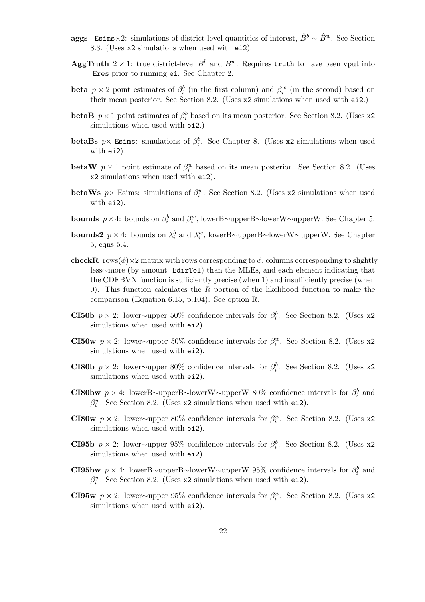- aggs Esims×2: simulations of district-level quantities of interest,  $\hat{B}^b \sim \hat{B}^w$ . See Section 8.3. (Uses x2 simulations when used with ei2).
- **AggTruth**  $2 \times 1$ : true district-level  $B^b$  and  $B^w$ . Requires truth to have been vput into Eres prior to running ei. See Chapter 2.
- beta  $p \times 2$  point estimates of  $\beta_i^b$  (in the first column) and  $\beta_i^w$  (in the second) based on their mean posterior. See Section 8.2. (Uses x2 simulations when used with ei2.)
- betaB  $p \times 1$  point estimates of  $\beta_i^b$  based on its mean posterior. See Section 8.2. (Uses x2) simulations when used with ei2.)
- betaBs  $p \times$  Esims: simulations of  $\beta_i^b$ . See Chapter 8. (Uses x2 simulations when used with ei2).
- betaW  $p \times 1$  point estimate of  $\beta_i^w$  based on its mean posterior. See Section 8.2. (Uses x2 simulations when used with ei2).
- betaWs  $p \times$  Esims: simulations of  $\beta_i^w$ . See Section 8.2. (Uses x2 simulations when used with ei2).
- **bounds**  $p \times 4$ : bounds on  $\beta_i^b$  and  $\beta_i^w$ , lowerB∼upperB∼lowerW∼upperW. See Chapter 5.
- bounds2  $p \times 4$ : bounds on  $\lambda_i^b$  and  $\lambda_i^w$ , lowerB~upperB~lowerW~upperW. See Chapter 5, eqns 5.4.
- checkR rows( $\phi$ )×2 matrix with rows corresponding to  $\phi$ , columns corresponding to slightly less∼more (by amount EdirTol) than the MLEs, and each element indicating that the CDFBVN function is sufficiently precise (when 1) and insufficiently precise (when 0). This function calculates the  $R$  portion of the likelihood function to make the comparison (Equation 6.15, p.104). See option R.
- **CI50b**  $p \times 2$ : lower∼upper 50% confidence intervals for  $\beta_i^b$ . See Section 8.2. (Uses x2 simulations when used with ei2).
- CI50w  $p \times 2$ : lower∼upper 50% confidence intervals for  $\beta_i^w$ . See Section 8.2. (Uses x2 simulations when used with ei2).
- **CI80b**  $p \times 2$ : lower∼upper 80% confidence intervals for  $\beta_i^b$ . See Section 8.2. (Uses x2 simulations when used with  $ei2$ ).
- CI80bw  $p \times 4$ : lowerB∼upperB∼lowerW∼upperW 80% confidence intervals for  $\beta_i^b$  and  $\beta_i^w$ . See Section 8.2. (Uses x2 simulations when used with ei2).
- CI80w  $p \times 2$ : lower∼upper 80% confidence intervals for  $\beta_i^w$ . See Section 8.2. (Uses x2 simulations when used with ei2).
- **CI95b**  $p \times 2$ : lower∼upper 95% confidence intervals for  $\beta_i^b$ . See Section 8.2. (Uses x2 simulations when used with ei2).
- CI95bw  $p \times 4$ : lowerB∼upperB∼lowerW∼upperW 95% confidence intervals for  $\beta_i^b$  and  $\beta_i^w$ . See Section 8.2. (Uses x2 simulations when used with ei2).
- **CI95w**  $p \times 2$ : lower∼upper 95% confidence intervals for  $\beta_i^w$ . See Section 8.2. (Uses x2 simulations when used with ei2).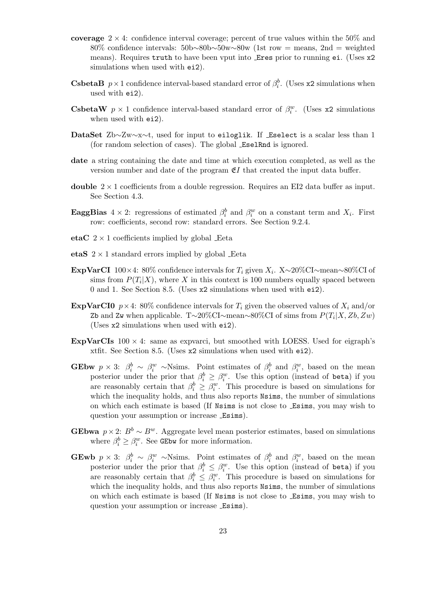- coverage  $2 \times 4$ : confidence interval coverage; percent of true values within the 50% and 80% confidence intervals: 50b∼80b∼50w∼80w (1st row = means, 2nd = weighted means). Requires truth to have been vput into Eres prior to running ei. (Uses x2 simulations when used with  $e$ i2).
- **CsbetaB**  $p \times 1$  confidence interval-based standard error of  $\beta_i^b$ . (Uses x2 simulations when used with ei2).
- **CsbetaW**  $p \times 1$  confidence interval-based standard error of  $\beta_i^w$ . (Uses x2 simulations when used with ei2).
- DataSet Zb∼Zw∼x∼t, used for input to eiloglik. If Eselect is a scalar less than 1 (for random selection of cases). The global EselRnd is ignored.
- date a string containing the date and time at which execution completed, as well as the version number and date of the program  $\mathfrak{E}I$  that created the input data buffer.
- double  $2 \times 1$  coefficients from a double regression. Requires an EI2 data buffer as input. See Section 4.3.
- **EaggBias**  $4 \times 2$ : regressions of estimated  $\beta_i^b$  and  $\beta_i^w$  on a constant term and  $X_i$ . First row: coefficients, second row: standard errors. See Section 9.2.4.
- etaC  $2 \times 1$  coefficients implied by global Eeta
- etaS  $2 \times 1$  standard errors implied by global Eeta
- ExpVarCI  $100\times4$ : 80% confidence intervals for  $T_i$  given  $X_i$ . X∼20%CI∼mean∼80%CI of sims from  $P(T_i|X)$ , where X in this context is 100 numbers equally spaced between 0 and 1. See Section 8.5. (Uses x2 simulations when used with ei2).
- **ExpVarCI0**  $p \times 4$ : 80% confidence intervals for  $T_i$  given the observed values of  $X_i$  and/or Zb and Zw when applicable. T~20%CI∼mean~80%CI of sims from  $P(T_i|X, Zb, Zw)$ (Uses x2 simulations when used with ei2).
- ExpVarCIs  $100 \times 4$ : same as expvarci, but smoothed with LOESS. Used for eigraph's xtfit. See Section 8.5. (Uses x2 simulations when used with ei2).
- **GEbw**  $p \times 3$ :  $\beta_i^b \sim \beta_i^w$  ~Nsims. Point estimates of  $\beta_i^b$  and  $\beta_i^w$ , based on the mean posterior under the prior that  $\beta_i^b \geq \beta_i^w$ . Use this option (instead of beta) if you are reasonably certain that  $\beta_i^b \geq \beta_i^w$ . This procedure is based on simulations for which the inequality holds, and thus also reports Nsims, the number of simulations on which each estimate is based (If Nsims is not close to Esims, you may wish to question your assumption or increase Esims).
- GEbwa  $p \times 2$ :  $B^b \sim B^w$ . Aggregate level mean posterior estimates, based on simulations where  $\beta_i^b \geq \beta_i^w$ . See GEbw for more information.
- **GEwb**  $p \times 3$ :  $\beta_i^b \sim \beta_i^w$  ~Nsims. Point estimates of  $\beta_i^b$  and  $\beta_i^w$ , based on the mean posterior under the prior that  $\beta_i^b \leq \beta_i^w$ . Use this option (instead of beta) if you are reasonably certain that  $\beta_i^b \leq \beta_i^w$ . This procedure is based on simulations for which the inequality holds, and thus also reports  $N \sin s$ , the number of simulations on which each estimate is based (If Nsims is not close to Esims, you may wish to question your assumption or increase Esims).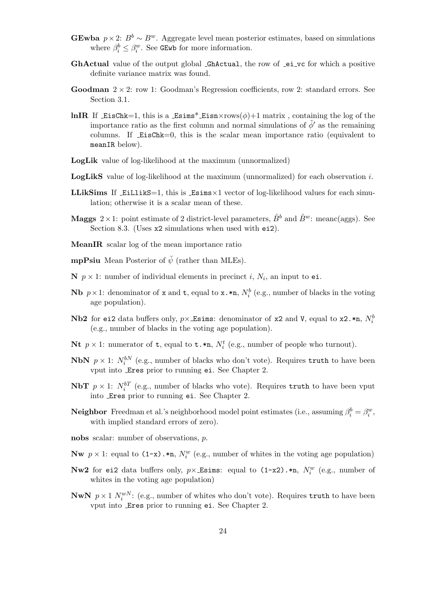- GEwba  $p \times 2$ :  $B^b \sim B^w$ . Aggregate level mean posterior estimates, based on simulations where  $\beta_i^b \leq \beta_i^w$ . See GEwb for more information.
- GhActual value of the output global \_GhActual, the row of \_ei\_vc for which a positive definite variance matrix was found.
- **Goodman**  $2 \times 2$ : row 1: Goodman's Regression coefficients, row 2: standard errors. See Section 3.1.
- lnIR If EisChk=1, this is a Esims\* Eisn $\times$ rows( $\phi$ )+1 matrix, containing the log of the importance ratio as the first column and normal simulations of  $\tilde{\phi}'$  as the remaining columns. If EisChk=0, this is the scalar mean importance ratio (equivalent to meanIR below).
- LogLik value of log-likelihood at the maximum (unnormalized)
- **LogLikS** value of log-likelihood at the maximum (unnormalized) for each observation i.
- **LLikSims** If EiLlikS=1, this is Esims $\times$ 1 vector of log-likelihood values for each simulation; otherwise it is a scalar mean of these.
- **Maggs**  $2 \times 1$ : point estimate of 2 district-level parameters,  $\hat{B}^b$  and  $\hat{B}^w$ : meanc(aggs). See Section 8.3. (Uses x2 simulations when used with ei2).
- MeanIR scalar log of the mean importance ratio
- **mpPsiu** Mean Posterior of  $\check{\psi}$  (rather than MLEs).
- **N**  $p \times 1$ : number of individual elements in precinct i,  $N_i$ , an input to ei.
- **Nb**  $p \times 1$ : denominator of **x** and **t**, equal to **x**. \***n**,  $N_i^b$  (e.g., number of blacks in the voting age population).
- ${\bf Nb2}$  for ei2 data buffers only,  $p\times$  Esims: denominator of x2 and V, equal to x2.\*n,  $N_i^b$ (e.g., number of blacks in the voting age population).
- **Nt**  $p \times 1$ : numerator of **t**, equal to **t**.\***n**,  $N_i^t$  (e.g., number of people who turnout).
- **NbN**  $p \times 1$ :  $N_i^{bN}$  (e.g., number of blacks who don't vote). Requires truth to have been vput into Eres prior to running ei. See Chapter 2.
- **NbT**  $p \times 1$ :  $N_i^{bT}$  (e.g., number of blacks who vote). Requires truth to have been vput into Eres prior to running ei. See Chapter 2.
- **Neighbor** Freedman et al.'s neighborhood model point estimates (i.e., assuming  $\beta_i^b = \beta_i^w$ , with implied standard errors of zero).
- nobs scalar: number of observations, p.
- **Nw**  $p \times 1$ : equal to  $(1-x) \cdot \text{sn}$ ,  $N_i^w$  (e.g., number of whites in the voting age population)
- **Nw2** for ei2 data buffers only,  $p \times$  Esims: equal to  $(1-x2)$ .\*n,  $N_i^w$  (e.g., number of whites in the voting age population)
- **NwN**  $p \times 1$   $N_i^{wN}$ : (e.g., number of whites who don't vote). Requires truth to have been vput into Eres prior to running ei. See Chapter 2.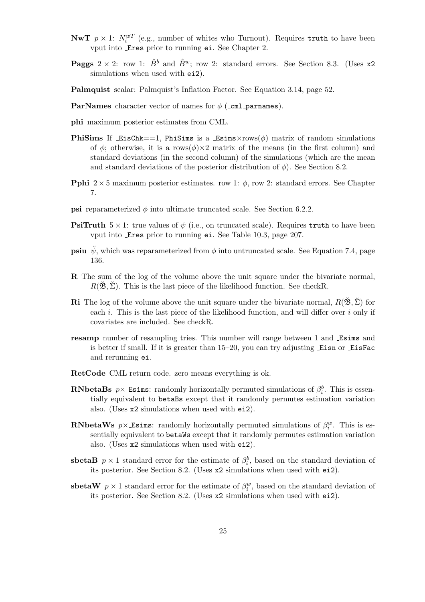- **NwT**  $p \times 1$ :  $N_i^{wT}$  (e.g., number of whites who Turnout). Requires truth to have been vput into Eres prior to running ei. See Chapter 2.
- **Paggs**  $2 \times 2$ : row 1:  $\hat{B}^b$  and  $\hat{B}^w$ ; row 2: standard errors. See Section 8.3. (Uses x2) simulations when used with ei2).
- Palmquist scalar: Palmquist's Inflation Factor. See Equation 3.14, page 52.
- **ParNames** character vector of names for  $\phi$  (\_cml\_parnames).
- phi maximum posterior estimates from CML.
- **PhiSims** If EisChk =  $=1$ , PhiSims is a Esims $\times$ rows( $\phi$ ) matrix of random simulations of  $\phi$ ; otherwise, it is a rows $(\phi) \times 2$  matrix of the means (in the first column) and standard deviations (in the second column) of the simulations (which are the mean and standard deviations of the posterior distribution of  $\phi$ ). See Section 8.2.
- **Pphi**  $2 \times 5$  maximum posterior estimates. row 1:  $\phi$ , row 2: standard errors. See Chapter 7.
- **psi** reparameterized  $\phi$  into ultimate truncated scale. See Section 6.2.2.
- **PsiTruth**  $5 \times 1$ : true values of  $\psi$  (i.e., on truncated scale). Requires truth to have been vput into Eres prior to running ei. See Table 10.3, page 207.
- **psiu**  $\psi$ , which was reparameterized from  $\phi$  into untruncated scale. See Equation 7.4, page 136.
- R The sum of the log of the volume above the unit square under the bivariate normal,  $R(\mathfrak{B}, \Sigma)$ . This is the last piece of the likelihood function. See checkR.
- **Ri** The log of the volume above the unit square under the bivariate normal,  $R(\mathbf{\tilde{B}}, \Sigma)$  for each i. This is the last piece of the likelihood function, and will differ over i only if covariates are included. See checkR.
- resamp number of resampling tries. This number will range between 1 and Esims and is better if small. If it is greater than 15–20, you can try adjusting Eisn or EisFac and rerunning ei.
- RetCode CML return code. zero means everything is ok.
- **RNbetaBs**  $p \times$  Esims: randomly horizontally permuted simulations of  $\beta_i^b$ . This is essentially equivalent to betaBs except that it randomly permutes estimation variation also. (Uses x2 simulations when used with ei2).
- **RNbetaWs**  $p \times$  Esims: randomly horizontally permuted simulations of  $\beta_i^w$ . This is essentially equivalent to betaWs except that it randomly permutes estimation variation also. (Uses x2 simulations when used with ei2).
- sbetaB  $p \times 1$  standard error for the estimate of  $\beta_i^b$ , based on the standard deviation of its posterior. See Section 8.2. (Uses x2 simulations when used with ei2).
- sbetaW  $p \times 1$  standard error for the estimate of  $\beta_i^w$ , based on the standard deviation of its posterior. See Section 8.2. (Uses x2 simulations when used with ei2).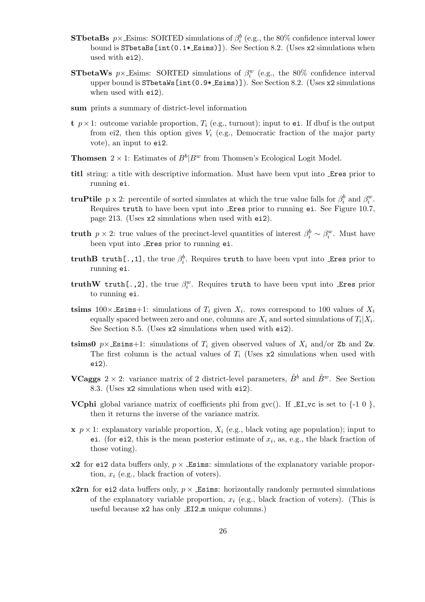- **STbetaBs**  $p \times$  Esims: SORTED simulations of  $\beta_i^b$  (e.g., the 80% confidence interval lower bound is STbetaBs[int(0.1\* Esims)]). See Section 8.2. (Uses x2 simulations when used with ei2).
- **STbetaWs**  $p \times$  Esims: SORTED simulations of  $\beta_i^w$  (e.g., the 80% confidence interval upper bound is STbetaWs[int(0.9\* Esims)]). See Section 8.2. (Uses x2 simulations when used with ei2).
- sum prints a summary of district-level information
- t  $p \times 1$ : outcome variable proportion,  $T_i$  (e.g., turnout); input to ei. If dbuf is the output from ei2, then this option gives  $V_i$  (e.g., Democratic fraction of the major party vote), an input to ei2.
- **Thomsen**  $2 \times 1$ : Estimates of  $B^b|B^w$  from Thomsen's Ecological Logit Model.
- titl string: a title with descriptive information. Must have been vput into Eres prior to running ei.
- **truPtile** p x 2: percentile of sorted simulates at which the true value falls for  $\beta_i^b$  and  $\beta_i^w$ . Requires truth to have been vput into Eres prior to running ei. See Figure 10.7, page 213. (Uses x2 simulations when used with ei2).
- **truth**  $p \times 2$ : true values of the precinct-level quantities of interest  $\beta_i^b \sim \beta_i^w$ . Must have been vput into Eres prior to running ei.
- truthB truth[.,1], the true  $\beta_i^b$ . Requires truth to have been vput into Eres prior to running ei.
- truthW truth[.,2], the true  $\beta_i^w$ . Requires truth to have been vput into Eres prior to running ei.
- tsims  $100 \times$  Esims +1: simulations of  $T_i$  given  $X_i$ , rows correspond to 100 values of  $X_i$ equally spaced between zero and one, columns are  $X_i$  and sorted simulations of  $T_i|X_i$ . See Section 8.5. (Uses x2 simulations when used with ei2).
- tsims0  $p \times$  Esims+1: simulations of  $T_i$  given observed values of  $X_i$  and/or Zb and Zw. The first column is the actual values of  $T_i$  (Uses  $x2$  simulations when used with ei2).
- **VCaggs**  $2 \times 2$ : variance matrix of 2 district-level parameters,  $\hat{B}^b$  and  $\hat{B}^w$ . See Section 8.3. (Uses x2 simulations when used with ei2).
- **VCphi** global variance matrix of coefficients phi from gvc(). If  $\mathbb{E}I\mathbb{I}$  vc is set to  $\{-1\ 0\}$ , then it returns the inverse of the variance matrix.
- $x, p \times 1$ : explanatory variable proportion,  $X_i$  (e.g., black voting age population); input to ei. (for ei2, this is the mean posterior estimate of  $x_i$ , as, e.g., the black fraction of those voting).
- $x2$  for ei2 data buffers only,  $p \times$  Esims: simulations of the explanatory variable proportion,  $x_i$  (e.g., black fraction of voters).
- **x2rn** for ei2 data buffers only,  $p \times$  Esims: horizontally randomly permuted simulations of the explanatory variable proportion,  $x_i$  (e.g., black fraction of voters). (This is useful because x2 has only EI2 m unique columns.)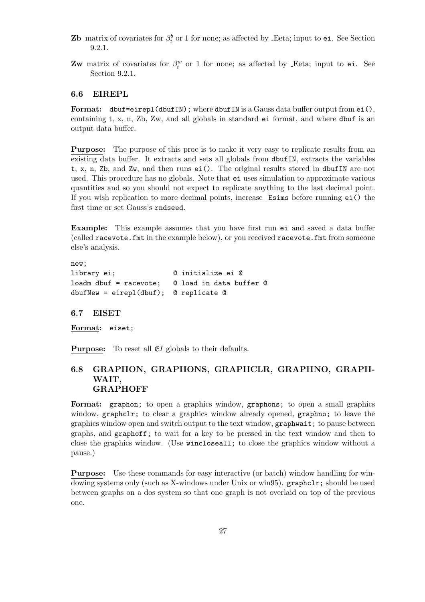- **Zb** matrix of covariates for  $\beta_i^b$  or 1 for none; as affected by Leta; input to ei. See Section 9.2.1.
- **Zw** matrix of covariates for  $\beta_i^w$  or 1 for none; as affected by Leta; input to ei. See Section 9.2.1.

#### 6.6 EIREPL

Format:  $dbuf = eirep1(dbufIN);$  where  $dbufIN$  is a Gauss data buffer output from  $ei(),$ containing t, x, n, Zb, Zw, and all globals in standard ei format, and where dbuf is an output data buffer.

Purpose: The purpose of this proc is to make it very easy to replicate results from an existing data buffer. It extracts and sets all globals from dbufIN, extracts the variables t, x, n, Zb, and Zw, and then runs ei(). The original results stored in dbufIN are not used. This procedure has no globals. Note that ei uses simulation to approximate various quantities and so you should not expect to replicate anything to the last decimal point. If you wish replication to more decimal points, increase Esims before running ei() the first time or set Gauss's rndseed.

Example: This example assumes that you have first run ei and saved a data buffer (called racevote.fmt in the example below), or you received racevote.fmt from someone else's analysis.

```
new;
library ei; @ initialize ei @
loadm dbuf = racevote; @ load in data buffer @
dbufNew = eirepl(dbuf); @ replicate @
```
#### 6.7 EISET

Format: eiset;

**Purpose:** To reset all  $E$ I globals to their defaults.

#### 6.8 GRAPHON, GRAPHONS, GRAPHCLR, GRAPHNO, GRAPH-WAIT, **GRAPHOFF**

Format: graphon; to open a graphics window, graphons; to open a small graphics window, graphclr; to clear a graphics window already opened, graphno; to leave the graphics window open and switch output to the text window, graphwait; to pause between graphs, and graphoff; to wait for a key to be pressed in the text window and then to close the graphics window. (Use wincloseall; to close the graphics window without a pause.)

Purpose: Use these commands for easy interactive (or batch) window handling for windowing systems only (such as X-windows under Unix or win95). graphclr; should be used between graphs on a dos system so that one graph is not overlaid on top of the previous one.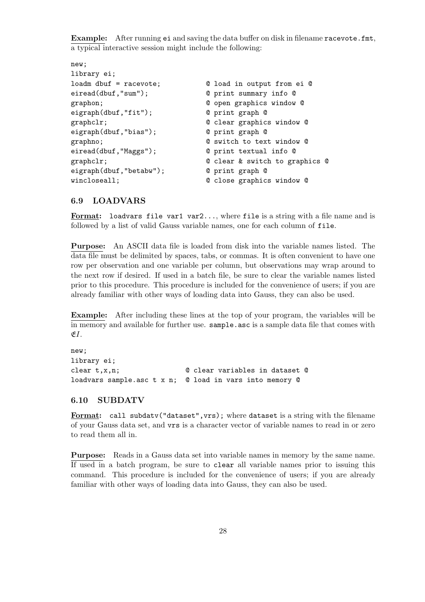Example: After running ei and saving the data buffer on disk in filename racevote.fmt, a typical interactive session might include the following:

```
new;
library ei;
loadm dbuf = racevote; @ load in output from ei @
eiread(dbuf,"sum"); @ print summary info @
graphon; @ open graphics window @
eigraph(dbuf,"fit"); @ print graph @
graphclr; @ clear graphics window @
eigraph(dbuf,"bias"); @ print graph @
graphno; and C switch to text window Q
eiread(dbuf,"Maggs"); @ print textual info @
graphclr; @ clear & switch to graphics @
eigraph(dbuf,"betabw"); @ print graph @
wincloseall; \qquad \qquad \qquad \mathsf{Q} close graphics window \mathsf{Q}
```
#### 6.9 LOADVARS

Format: loadvars file var1 var2..., where file is a string with a file name and is followed by a list of valid Gauss variable names, one for each column of file.

Purpose: An ASCII data file is loaded from disk into the variable names listed. The data file must be delimited by spaces, tabs, or commas. It is often convenient to have one row per observation and one variable per column, but observations may wrap around to the next row if desired. If used in a batch file, be sure to clear the variable names listed prior to this procedure. This procedure is included for the convenience of users; if you are already familiar with other ways of loading data into Gauss, they can also be used.

Example: After including these lines at the top of your program, the variables will be in memory and available for further use. sample.asc is a sample data file that comes with  $EI$ .

```
new;
library ei;
clear t,x,n; @ clear variables in dataset @
loadvars sample.asc t x n; @ load in vars into memory @
```
#### 6.10 SUBDATV

Format: call subdatv("dataset",vrs); where dataset is a string with the filename of your Gauss data set, and vrs is a character vector of variable names to read in or zero to read them all in.

Purpose: Reads in a Gauss data set into variable names in memory by the same name. If used in a batch program, be sure to clear all variable names prior to issuing this command. This procedure is included for the convenience of users; if you are already familiar with other ways of loading data into Gauss, they can also be used.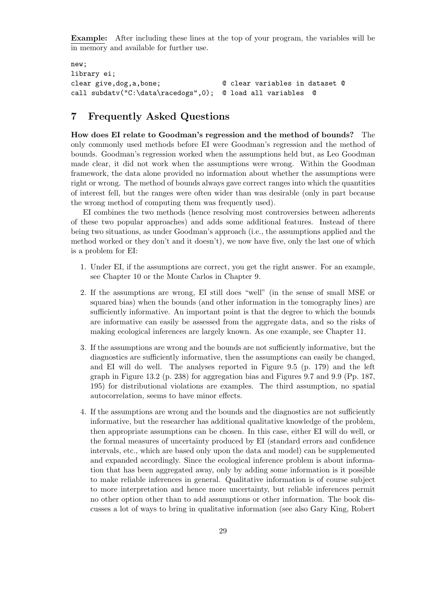Example: After including these lines at the top of your program, the variables will be in memory and available for further use.

```
new;
library ei;
clear give,dog,a,bone; @ clear variables in dataset @
call subdatv("C:\data\racedogs",0); @ load all variables @
```
## 7 Frequently Asked Questions

How does EI relate to Goodman's regression and the method of bounds? The only commonly used methods before EI were Goodman's regression and the method of bounds. Goodman's regression worked when the assumptions held but, as Leo Goodman made clear, it did not work when the assumptions were wrong. Within the Goodman framework, the data alone provided no information about whether the assumptions were right or wrong. The method of bounds always gave correct ranges into which the quantities of interest fell, but the ranges were often wider than was desirable (only in part because the wrong method of computing them was frequently used).

EI combines the two methods (hence resolving most controversies between adherents of these two popular approaches) and adds some additional features. Instead of there being two situations, as under Goodman's approach (i.e., the assumptions applied and the method worked or they don't and it doesn't), we now have five, only the last one of which is a problem for EI:

- 1. Under EI, if the assumptions are correct, you get the right answer. For an example, see Chapter 10 or the Monte Carlos in Chapter 9.
- 2. If the assumptions are wrong, EI still does "well" (in the sense of small MSE or squared bias) when the bounds (and other information in the tomography lines) are sufficiently informative. An important point is that the degree to which the bounds are informative can easily be assessed from the aggregate data, and so the risks of making ecological inferences are largely known. As one example, see Chapter 11.
- 3. If the assumptions are wrong and the bounds are not sufficiently informative, but the diagnostics are sufficiently informative, then the assumptions can easily be changed, and EI will do well. The analyses reported in Figure 9.5 (p. 179) and the left graph in Figure 13.2 (p. 238) for aggregation bias and Figures 9.7 and 9.9 (Pp. 187, 195) for distributional violations are examples. The third assumption, no spatial autocorrelation, seems to have minor effects.
- 4. If the assumptions are wrong and the bounds and the diagnostics are not sufficiently informative, but the researcher has additional qualitative knowledge of the problem, then appropriate assumptions can be chosen. In this case, either EI will do well, or the formal measures of uncertainty produced by EI (standard errors and confidence intervals, etc., which are based only upon the data and model) can be supplemented and expanded accordingly. Since the ecological inference problem is about information that has been aggregated away, only by adding some information is it possible to make reliable inferences in general. Qualitative information is of course subject to more interpretation and hence more uncertainty, but reliable inferences permit no other option other than to add assumptions or other information. The book discusses a lot of ways to bring in qualitative information (see also Gary King, Robert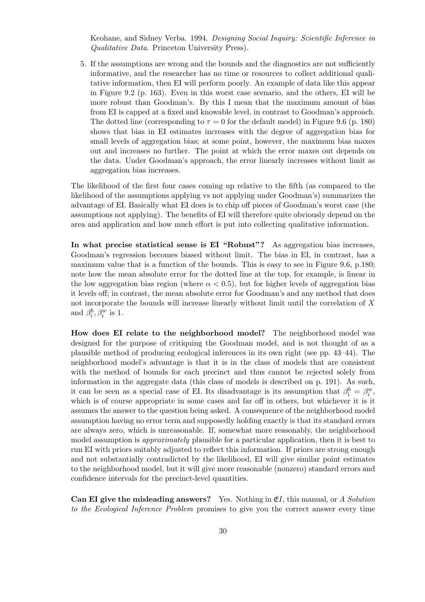Keohane, and Sidney Verba. 1994. Designing Social Inquiry: Scientific Inference in Qualitative Data. Princeton University Press).

5. If the assumptions are wrong and the bounds and the diagnostics are not sufficiently informative, and the researcher has no time or resources to collect additional qualitative information, then EI will perform poorly. An example of data like this appear in Figure 9.2 (p. 163). Even in this worst case scenario, and the others, EI will be more robust than Goodman's. By this I mean that the maximum amount of bias from EI is capped at a fixed and knowable level, in contrast to Goodman's approach. The dotted line (corresponding to  $\tau = 0$  for the default model) in Figure 9.6 (p. 180) shows that bias in EI estimates increases with the degree of aggregation bias for small levels of aggregation bias; at some point, however, the maximum bias maxes out and increases no further. The point at which the error maxes out depends on the data. Under Goodman's approach, the error linearly increases without limit as aggregation bias increases.

The likelihood of the first four cases coming up relative to the fifth (as compared to the likelihood of the assumptions applying vs not applying under Goodman's) summarizes the advantage of EI. Basically what EI does is to chip off pieces of Goodman's worst case (the assumptions not applying). The benefits of EI will therefore quite obviously depend on the area and application and how much effort is put into collecting qualitative information.

In what precise statistical sense is EI "Robust"? As aggregation bias increases, Goodman's regression becomes biased without limit. The bias in EI, in contrast, has a maximum value that is a function of the bounds. This is easy to see in Figure 9.6, p.180; note how the mean absolute error for the dotted line at the top, for example, is linear in the low aggregation bias region (where  $\alpha < 0.5$ ), but for higher levels of aggregation bias it levels off; in contrast, the mean absolute error for Goodman's and any method that does not incorporate the bounds will increase linearly without limit until the correlation of X and  $\beta_i^b, \beta_i^w$  is 1.

How does EI relate to the neighborhood model? The neighborhood model was designed for the purpose of critiquing the Goodman model, and is not thought of as a plausible method of producing ecological inferences in its own right (see pp. 43–44). The neighborhood model's advantage is that it is in the class of models that are consistent with the method of bounds for each precinct and thus cannot be rejected solely from information in the aggregate data (this class of models is described on p. 191). As such, it can be seen as a special case of EI. Its disadvantage is its assumption that  $\beta_i^b = \beta_i^w$ , which is of course appropriate in some cases and far off in others, but whichever it is it assumes the answer to the question being asked. A consequence of the neighborhood model assumption having no error term and supposedly holding exactly is that its standard errors are always zero, which is unreasonable. If, somewhat more reasonably, the neighborhood model assumption is *approximately* plausible for a particular application, then it is best to run EI with priors suitably adjusted to reflect this information. If priors are strong enough and not substantially contradicted by the likelihood, EI will give similar point estimates to the neighborhood model, but it will give more reasonable (nonzero) standard errors and confidence intervals for the precinct-level quantities.

**Can EI give the misleading answers?** Yes. Nothing in  $\mathfrak{E}I$ , this manual, or A Solution to the Ecological Inference Problem promises to give you the correct answer every time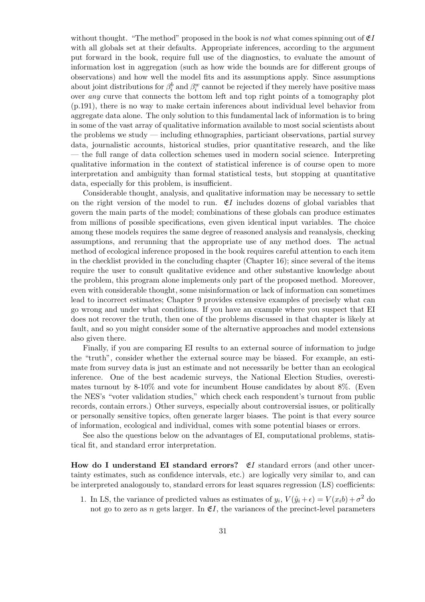without thought. "The method" proposed in the book is not what comes spinning out of  $\mathfrak{E}I$ with all globals set at their defaults. Appropriate inferences, according to the argument put forward in the book, require full use of the diagnostics, to evaluate the amount of information lost in aggregation (such as how wide the bounds are for different groups of observations) and how well the model fits and its assumptions apply. Since assumptions about joint distributions for  $\beta_i^b$  and  $\beta_i^w$  cannot be rejected if they merely have positive mass over any curve that connects the bottom left and top right points of a tomography plot (p.191), there is no way to make certain inferences about individual level behavior from aggregate data alone. The only solution to this fundamental lack of information is to bring in some of the vast array of qualitative information available to most social scientists about the problems we study — including ethnographies, particiant observations, partial survey data, journalistic accounts, historical studies, prior quantitative research, and the like — the full range of data collection schemes used in modern social science. Interpreting qualitative information in the context of statistical inference is of course open to more interpretation and ambiguity than formal statistical tests, but stopping at quantitative data, especially for this problem, is insufficient.

Considerable thought, analysis, and qualitative information may be necessary to settle on the right version of the model to run.  $E$ I includes dozens of global variables that govern the main parts of the model; combinations of these globals can produce estimates from millions of possible specifications, even given identical input variables. The choice among these models requires the same degree of reasoned analysis and reanalysis, checking assumptions, and rerunning that the appropriate use of any method does. The actual method of ecological inference proposed in the book requires careful attention to each item in the checklist provided in the concluding chapter (Chapter 16); since several of the items require the user to consult qualitative evidence and other substantive knowledge about the problem, this program alone implements only part of the proposed method. Moreover, even with considerable thought, some misinformation or lack of information can sometimes lead to incorrect estimates; Chapter 9 provides extensive examples of precisely what can go wrong and under what conditions. If you have an example where you suspect that EI does not recover the truth, then one of the problems discussed in that chapter is likely at fault, and so you might consider some of the alternative approaches and model extensions also given there.

Finally, if you are comparing EI results to an external source of information to judge the "truth", consider whether the external source may be biased. For example, an estimate from survey data is just an estimate and not necessarily be better than an ecological inference. One of the best academic surveys, the National Election Studies, overestimates turnout by 8-10% and vote for incumbent House candidates by about 8%. (Even the NES's "voter validation studies," which check each respondent's turnout from public records, contain errors.) Other surveys, especially about controversial issues, or politically or personally sensitive topics, often generate larger biases. The point is that every source of information, ecological and individual, comes with some potential biases or errors.

See also the questions below on the advantages of EI, computational problems, statistical fit, and standard error interpretation.

How do I understand EI standard errors?  $E$ I standard errors (and other uncertainty estimates, such as confidence intervals, etc.) are logically very similar to, and can be interpreted analogously to, standard errors for least squares regression (LS) coefficients:

1. In LS, the variance of predicted values as estimates of  $y_i$ ,  $V(\hat{y}_i + \epsilon) = V(x_i b) + \sigma^2$  do not go to zero as n gets larger. In  $\mathfrak{E}I$ , the variances of the precinct-level parameters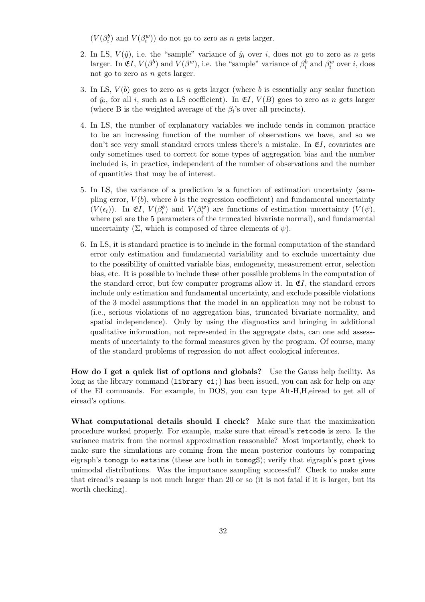$(V(\beta^b_i)$  and  $V(\beta^w_i))$  do not go to zero as  $n$  gets larger.

- 2. In LS,  $V(\hat{y})$ , i.e. the "sample" variance of  $\hat{y}_i$  over i, does not go to zero as n gets larger. In  $\mathfrak{E}I, V(\beta^b)$  and  $V(\beta^w)$ , i.e. the "sample" variance of  $\beta_i^b$  and  $\beta_i^w$  over i, does not go to zero as n gets larger.
- 3. In LS,  $V(b)$  goes to zero as n gets larger (where b is essentially any scalar function of  $\hat{y}_i$ , for all i, such as a LS coefficient). In  $\mathfrak{E}I$ ,  $V(B)$  goes to zero as n gets larger (where B is the weighted average of the  $\beta_i$ 's over all precincts).
- 4. In LS, the number of explanatory variables we include tends in common practice to be an increasing function of the number of observations we have, and so we don't see very small standard errors unless there's a mistake. In  $\mathfrak{E}I$ , covariates are only sometimes used to correct for some types of aggregation bias and the number included is, in practice, independent of the number of observations and the number of quantities that may be of interest.
- 5. In LS, the variance of a prediction is a function of estimation uncertainty (sampling error,  $V(b)$ , where b is the regression coefficient) and fundamental uncertainty  $(V(\epsilon_i))$ . In  $\mathfrak{E}I, V(\beta_i^b)$  and  $V(\beta_i^w)$  are functions of estimation uncertainty  $(V(\psi),$ where psi are the 5 parameters of the truncated bivariate normal), and fundamental uncertainty  $(\Sigma,$  which is composed of three elements of  $\psi$ ).
- 6. In LS, it is standard practice is to include in the formal computation of the standard error only estimation and fundamental variability and to exclude uncertainty due to the possibility of omitted variable bias, endogeneity, measurement error, selection bias, etc. It is possible to include these other possible problems in the computation of the standard error, but few computer programs allow it. In  $\mathfrak{E}I$ , the standard errors include only estimation and fundamental uncertainty, and exclude possible violations of the 3 model assumptions that the model in an application may not be robust to (i.e., serious violations of no aggregation bias, truncated bivariate normality, and spatial independence). Only by using the diagnostics and bringing in additional qualitative information, not represented in the aggregate data, can one add assessments of uncertainty to the formal measures given by the program. Of course, many of the standard problems of regression do not affect ecological inferences.

How do I get a quick list of options and globals? Use the Gauss help facility. As long as the library command (library ei;) has been issued, you can ask for help on any of the EI commands. For example, in DOS, you can type Alt-H,H,eiread to get all of eiread's options.

What computational details should I check? Make sure that the maximization procedure worked properly. For example, make sure that eiread's retcode is zero. Is the variance matrix from the normal approximation reasonable? Most importantly, check to make sure the simulations are coming from the mean posterior contours by comparing eigraph's tomogp to estsims (these are both in tomogS); verify that eigraph's post gives unimodal distributions. Was the importance sampling successful? Check to make sure that eiread's resamp is not much larger than 20 or so (it is not fatal if it is larger, but its worth checking).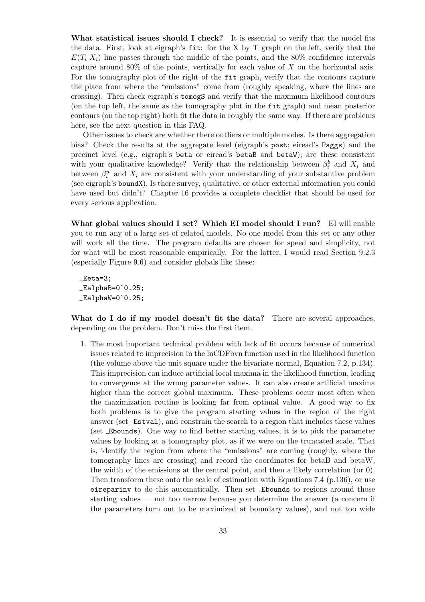What statistical issues should I check? It is essential to verify that the model fits the data. First, look at eigraph's fit: for the X by T graph on the left, verify that the  $E(T_i|X_i)$  line passes through the middle of the points, and the 80% confidence intervals capture around  $80\%$  of the points, vertically for each value of X on the horizontal axis. For the tomography plot of the right of the fit graph, verify that the contours capture the place from where the "emissions" come from (roughly speaking, where the lines are crossing). Then check eigraph's tomogS and verify that the maximum likelihood contours (on the top left, the same as the tomography plot in the fit graph) and mean posterior contours (on the top right) both fit the data in roughly the same way. If there are problems here, see the next question in this FAQ.

Other issues to check are whether there outliers or multiple modes. Is there aggregation bias? Check the results at the aggregate level (eigraph's post; eiread's Paggs) and the precinct level (e.g., eigraph's beta or eiread's betaB and betaW); are these consistent with your qualitative knowledge? Verify that the relationship between  $\beta_i^b$  and  $X_i$  and between  $\beta_i^w$  and  $X_i$  are consistent with your understanding of your substantive problem (see eigraph's boundX). Is there survey, qualitative, or other external information you could have used but didn't? Chapter 16 provides a complete checklist that should be used for every serious application.

What global values should I set? Which EI model should I run? EI will enable you to run any of a large set of related models. No one model from this set or any other will work all the time. The program defaults are chosen for speed and simplicity, not for what will be most reasonable empirically. For the latter, I would read Section 9.2.3 (especially Figure 9.6) and consider globals like these:

\_Eeta=3;  $_L$ EalphaB=0~0.25;  $_L$ EalphaW=0~0.25;

What do I do if my model doesn't fit the data? There are several approaches, depending on the problem. Don't miss the first item.

1. The most important technical problem with lack of fit occurs because of numerical issues related to imprecision in the lnCDFbvn function used in the likelihood function (the volume above the unit square under the bivariate normal, Equation 7.2, p.134). This imprecision can induce artificial local maxima in the likelihood function, leading to convergence at the wrong parameter values. It can also create artificial maxima higher than the correct global maximum. These problems occur most often when the maximization routine is looking far from optimal value. A good way to fix both problems is to give the program starting values in the region of the right answer (set Estval), and constrain the search to a region that includes these values (set Ebounds). One way to find better starting values, it is to pick the parameter values by looking at a tomography plot, as if we were on the truncated scale. That is, identify the region from where the "emissions" are coming (roughly, where the tomography lines are crossing) and record the coordinates for betaB and betaW, the width of the emissions at the central point, and then a likely correlation (or 0). Then transform these onto the scale of estimation with Equations 7.4 (p.136), or use eireparinv to do this automatically. Then set Ebounds to regions around those starting values — not too narrow because you determine the answer (a concern if the parameters turn out to be maximized at boundary values), and not too wide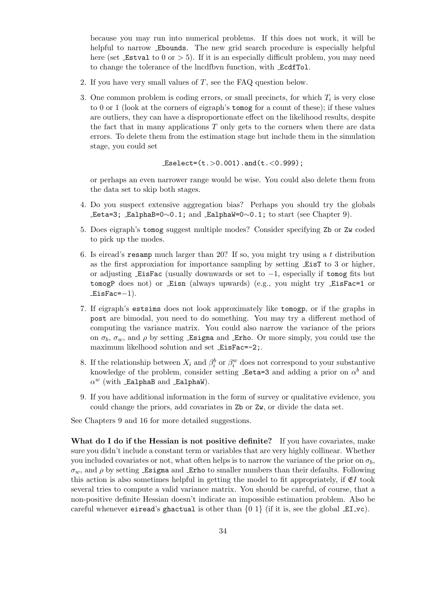because you may run into numerical problems. If this does not work, it will be helpful to narrow Ebounds. The new grid search procedure is especially helpful here (set  $\text{\textsterling}$  Estval to 0 or  $> 5$ ). If it is an especially difficult problem, you may need to change the tolerance of the lncdfbvn function, with EcdfTol.

- 2. If you have very small values of T, see the FAQ question below.
- 3. One common problem is coding errors, or small precincts, for which  $T_i$  is very close to 0 or 1 (look at the corners of eigraph's tomog for a count of these); if these values are outliers, they can have a disproportionate effect on the likelihood results, despite the fact that in many applications  $T$  only gets to the corners when there are data errors. To delete them from the estimation stage but include them in the simulation stage, you could set

 $Eselect=(t. > 0.001).and(t. < 0.999);$ 

or perhaps an even narrower range would be wise. You could also delete them from the data set to skip both stages.

- 4. Do you suspect extensive aggregation bias? Perhaps you should try the globals  $\text{Leta=3; }$  EalphaB=0∼0.1; and EalphaW=0∼0.1; to start (see Chapter 9).
- 5. Does eigraph's tomog suggest multiple modes? Consider specifying Zb or Zw coded to pick up the modes.
- 6. Is eiread's resamp much larger than 20? If so, you might try using a t distribution as the first approxiation for importance sampling by setting EisT to 3 or higher, or adjusting EisFac (usually downwards or set to −1, especially if tomog fits but tomogP does not) or Eisn (always upwards) (e.g., you might try EisFac=1 or  $EisFac=-1$ ).
- 7. If eigraph's estsims does not look approximately like tomogp, or if the graphs in post are bimodal, you need to do something. You may try a different method of computing the variance matrix. You could also narrow the variance of the priors on  $\sigma_b$ ,  $\sigma_w$ , and  $\rho$  by setting Esigma and Erho. Or more simply, you could use the maximum likelhood solution and set EisFac=-2;.
- 8. If the relationship between  $X_i$  and  $\beta_i^b$  or  $\beta_i^w$  does not correspond to your substantive knowledge of the problem, consider setting  $\text{\texttt{Eeta=3}}$  and adding a prior on  $\alpha^b$  and  $\alpha^w$  (with EalphaB and EalphaW).
- 9. If you have additional information in the form of survey or qualitative evidence, you could change the priors, add covariates in Zb or Zw, or divide the data set.

See Chapters 9 and 16 for more detailed suggestions.

What do I do if the Hessian is not positive definite? If you have covariates, make sure you didn't include a constant term or variables that are very highly collinear. Whether you included covariates or not, what often helps is to narrow the variance of the prior on  $\sigma_b$ ,  $\sigma_w$ , and  $\rho$  by setting Esigma and Erho to smaller numbers than their defaults. Following this action is also sometimes helpful in getting the model to fit appropriately, if  $E$ I took several tries to compute a valid variance matrix. You should be careful, of course, that a non-positive definite Hessian doesn't indicate an impossible estimation problem. Also be careful whenever eiread's ghactual is other than  $\{0\ 1\}$  (if it is, see the global  $EL\text{-}vc$ ).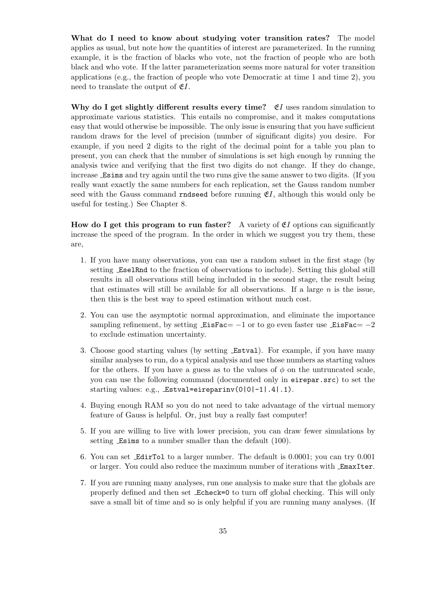What do I need to know about studying voter transition rates? The model applies as usual, but note how the quantities of interest are parameterized. In the running example, it is the fraction of blacks who vote, not the fraction of people who are both black and who vote. If the latter parameterization seems more natural for voter transition applications (e.g., the fraction of people who vote Democratic at time 1 and time 2), you need to translate the output of  $E$ .

Why do I get slightly different results every time?  $E_I$  uses random simulation to approximate various statistics. This entails no compromise, and it makes computations easy that would otherwise be impossible. The only issue is ensuring that you have sufficient random draws for the level of precision (number of significant digits) you desire. For example, if you need 2 digits to the right of the decimal point for a table you plan to present, you can check that the number of simulations is set high enough by running the analysis twice and verifying that the first two digits do not change. If they do change, increase Esims and try again until the two runs give the same answer to two digits. (If you really want exactly the same numbers for each replication, set the Gauss random number seed with the Gauss command rndseed before running  $\mathfrak{E}I$ , although this would only be useful for testing.) See Chapter 8.

How do I get this program to run faster? A variety of  $E$ I options can significantly increase the speed of the program. In the order in which we suggest you try them, these are,

- 1. If you have many observations, you can use a random subset in the first stage (by setting EselRnd to the fraction of observations to include). Setting this global still results in all observations still being included in the second stage, the result being that estimates will still be available for all observations. If a large  $n$  is the issue, then this is the best way to speed estimation without much cost.
- 2. You can use the asymptotic normal approximation, and eliminate the importance sampling refinement, by setting  $EisFac = -1$  or to go even faster use  $EisFac = -2$ to exclude estimation uncertainty.
- 3. Choose good starting values (by setting Estval). For example, if you have many similar analyses to run, do a typical analysis and use those numbers as starting values for the others. If you have a guess as to the values of  $\phi$  on the untruncated scale, you can use the following command (documented only in eirepar.src) to set the starting values: e.g., Estval=eireparinv(0|0|-1|.4|.1).
- 4. Buying enough RAM so you do not need to take advantage of the virtual memory feature of Gauss is helpful. Or, just buy a really fast computer!
- 5. If you are willing to live with lower precision, you can draw fewer simulations by setting Esims to a number smaller than the default  $(100)$ .
- 6. You can set EdirTol to a larger number. The default is 0.0001; you can try 0.001 or larger. You could also reduce the maximum number of iterations with EmaxIter.
- 7. If you are running many analyses, run one analysis to make sure that the globals are properly defined and then set Echeck=0 to turn off global checking. This will only save a small bit of time and so is only helpful if you are running many analyses. (If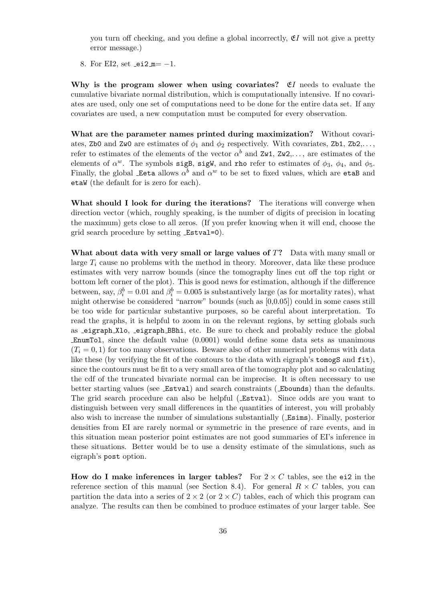you turn off checking, and you define a global incorrectly,  $E$ I will not give a pretty error message.)

8. For EI2, set  $-ei2_m = -1$ .

Why is the program slower when using covariates?  $E_I$  needs to evaluate the cumulative bivariate normal distribution, which is computationally intensive. If no covariates are used, only one set of computations need to be done for the entire data set. If any covariates are used, a new computation must be computed for every observation.

What are the parameter names printed during maximization? Without covariates, Zb0 and Zw0 are estimates of  $\phi_1$  and  $\phi_2$  respectively. With covariates, Zb1, Zb2,... refer to estimates of the elements of the vector  $\alpha^b$  and  $\alpha z \mathbf{w}$ ,  $\alpha z \mathbf{w}$ , are estimates of the elements of  $\alpha^w$ . The symbols sigB, sigW, and rho refer to estimates of  $\phi_3$ ,  $\phi_4$ , and  $\phi_5$ . Finally, the global Eeta allows  $\alpha^b$  and  $\alpha^w$  to be set to fixed values, which are etaB and etaW (the default for is zero for each).

What should I look for during the iterations? The iterations will converge when direction vector (which, roughly speaking, is the number of digits of precision in locating the maximum) gets close to all zeros. (If you prefer knowing when it will end, choose the grid search procedure by setting Estval=0).

What about data with very small or large values of  $T$ ? Data with many small or large  $T_i$  cause no problems with the method in theory. Moreover, data like these produce estimates with very narrow bounds (since the tomography lines cut off the top right or bottom left corner of the plot). This is good news for estimation, although if the difference between, say,  $\beta_i^b = 0.01$  and  $\beta_i^b = 0.005$  is substantively large (as for mortality rates), what might otherwise be considered "narrow" bounds (such as [0,0.05]) could in some cases still be too wide for particular substantive purposes, so be careful about interpretation. To read the graphs, it is helpful to zoom in on the relevant regions, by setting globals such as eigraph Xlo, eigraph BBhi, etc. Be sure to check and probably reduce the global EnumTol, since the default value (0.0001) would define some data sets as unanimous  $(T<sub>i</sub> = 0, 1)$  for too many observations. Beware also of other numerical problems with data like these (by verifying the fit of the contours to the data with eigraph's tomogS and fit), since the contours must be fit to a very small area of the tomography plot and so calculating the cdf of the truncated bivariate normal can be imprecise. It is often necessary to use better starting values (see Estval) and search constraints ( Ebounds) than the defaults. The grid search procedure can also be helpful ( Estval). Since odds are you want to distinguish between very small differences in the quantities of interest, you will probably also wish to increase the number of simulations substantially ( Esims). Finally, posterior densities from EI are rarely normal or symmetric in the presence of rare events, and in this situation mean posterior point estimates are not good summaries of EI's inference in these situations. Better would be to use a density estimate of the simulations, such as eigraph's post option.

How do I make inferences in larger tables? For  $2 \times C$  tables, see the ei2 in the reference section of this manual (see Section 8.4). For general  $R \times C$  tables, you can partition the data into a series of  $2 \times 2$  (or  $2 \times C$ ) tables, each of which this program can analyze. The results can then be combined to produce estimates of your larger table. See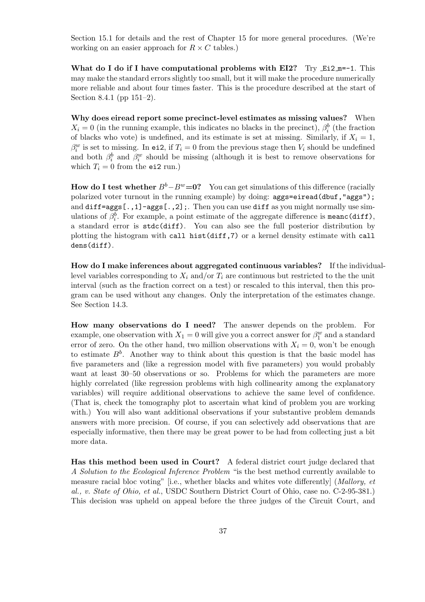Section 15.1 for details and the rest of Chapter 15 for more general procedures. (We're working on an easier approach for  $R \times C$  tables.)

What do I do if I have computational problems with EI2? Try  $Ei2m=-1$ . This may make the standard errors slightly too small, but it will make the procedure numerically more reliable and about four times faster. This is the procedure described at the start of Section 8.4.1 (pp 151–2).

Why does eiread report some precinct-level estimates as missing values? When  $X_i = 0$  (in the running example, this indicates no blacks in the precinct),  $\beta_i^b$  (the fraction of blacks who vote) is undefined, and its estimate is set at missing. Similarly, if  $X_i = 1$ ,  $\beta_i^w$  is set to missing. In ei2, if  $T_i = 0$  from the previous stage then  $V_i$  should be undefined and both  $\beta_i^b$  and  $\beta_i^w$  should be missing (although it is best to remove observations for which  $T_i = 0$  from the ei2 run.)

How do I test whether  $B^b - B^w = 0$ ? You can get simulations of this difference (racially polarized voter turnout in the running example) by doing: aggs=eiread(dbuf,"aggs"); and diff=aggs[.,1]-aggs[.,2];. Then you can use diff as you might normally use simulations of  $\beta_i^b$ . For example, a point estimate of the aggregate difference is meanc (diff), a standard error is stdc(diff). You can also see the full posterior distribution by plotting the histogram with call hist(diff,7) or a kernel density estimate with call dens(diff).

How do I make inferences about aggregated continuous variables? If the individuallevel variables corresponding to  $X_i$  and/or  $T_i$  are continuous but restricted to the the unit interval (such as the fraction correct on a test) or rescaled to this interval, then this program can be used without any changes. Only the interpretation of the estimates change. See Section 14.3.

How many observations do I need? The answer depends on the problem. For example, one observation with  $X_1 = 0$  will give you a correct answer for  $\beta_1^w$  and a standard error of zero. On the other hand, two million observations with  $X_i = 0$ , won't be enough to estimate  $B^b$ . Another way to think about this question is that the basic model has five parameters and (like a regression model with five parameters) you would probably want at least  $30-50$  observations or so. Problems for which the parameters are more highly correlated (like regression problems with high collinearity among the explanatory variables) will require additional observations to achieve the same level of confidence. (That is, check the tomography plot to ascertain what kind of problem you are working with.) You will also want additional observations if your substantive problem demands answers with more precision. Of course, if you can selectively add observations that are especially informative, then there may be great power to be had from collecting just a bit more data.

Has this method been used in Court? A federal district court judge declared that A Solution to the Ecological Inference Problem "is the best method currently available to measure racial bloc voting" [i.e., whether blacks and whites vote differently] (Mallory, et al., v. State of Ohio, et al., USDC Southern District Court of Ohio, case no. C-2-95-381.) This decision was upheld on appeal before the three judges of the Circuit Court, and